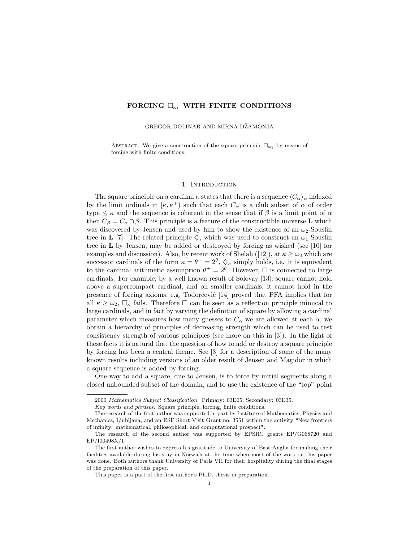# FORCING  $\square_{\omega_1}$  with finite conditions

GREGOR DOLINAR AND MIRNA DŽAMONJA

ABSTRACT. We give a construction of the square principle  $\square_{\omega_1}$  by means of forcing with finite conditions.

### 1. INTRODUCTION

The square principle on a cardinal  $\kappa$  states that there is a sequence  $\langle C_{\alpha}\rangle_{\alpha}$  indexed by the limit ordinals in  $\kappa, \kappa^+$  such that each  $C_\alpha$  is a club subset of  $\alpha$  of order type  $\leq \kappa$  and the sequence is coherent in the sense that if  $\beta$  is a limit point of  $\alpha$ then  $C_\beta = C_\alpha \cap \beta$ . This principle is a feature of the constructible universe **L** which was discovered by Jensen and used by him to show the existence of an  $\omega_2$ -Souslin tree in **L** [7]. The related principle  $\diamondsuit$ , which was used to construct an  $\omega_1$ -Souslin tree in  $\bf{L}$  by Jensen, may be added or destroyed by forcing as wished (see [10] for examples and discussion). Also, by recent work of Shelah ([12]), at  $\kappa \geq \omega_2$  which are successor cardinals of the form  $\kappa = \theta^+ = 2^{\theta}$ ,  $\Diamond_{\kappa}$  simply holds, i.e. it is equivalent to the cardinal arithmetic assumption  $\theta^+ = 2^{\theta}$ . However,  $\Box$  is connected to large cardinals. For example, by a well known result of Solovay [13], square cannot hold above a supercompact cardinal, and on smaller cardinals, it cannot hold in the presence of forcing axioms, e.g. Todorcevic  $|14|$  proved that PFA implies that for all  $\kappa \geq \omega_2$ ,  $\Box_{\kappa}$  fails. Therefore  $\Box$  can be seen as a reflection principle inimical to large cardinals, and in fact by varying the definition of square by allowing a cardinal parameter which measures how many guesses to  $C_{\alpha}$  we are allowed at each  $\alpha$ , we obtain a hierarchy of principles of decreasing strength which can be used to test consistency strength of various principles (see more on this in [3]). In the light of these facts it is natural that the question of how to add or destroy a square principle by forcing has been a central theme. See [3] for a description of some of the many known results including versions of an older result of Jensen and Magidor in which a square sequence is added by forcing.

One way to add a square, due to Jensen, is to force by initial segments along a closed unbounded subset of the domain, and to use the existence of the "top" point

<sup>2000</sup> Mathematics Subject Classification. Primary: 03E05; Secondary: 03E35.

Key words and phrases. Square principle, forcing, finite conditions.

The research of the first author was supported in part by Institute of Mathematics, Physics and Mechanics, Ljubljana, and an ESF Short Visit Grant no. 3551 within the activity "New frontiers of infinity: mathematical, philosophical, and computational prospect".

The research of the second author was supported by EPSRC grants EP/G068720 and EP/I00498X/1.

The first author wishes to express his gratitude to University of East Anglia for making their facilities available during his stay in Norwich at the time when most of the work on this paper was done. Both authors thank University of Paris VII for their hospitality during the final stages of the preparation of this paper.

This paper is a part of the first author's Ph.D. thesis in preparation.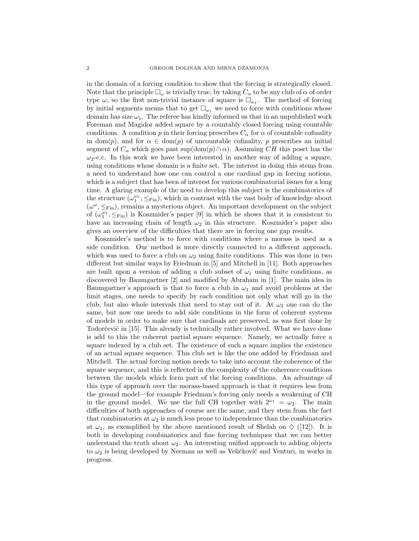in the domain of a forcing condition to show that the forcing is strategically closed. Note that the principle  $\square_{\omega}$  is trivially true, by taking  $C_{\alpha}$  to be any club of  $\alpha$  of order type  $\omega$ , so the first non-trivial instance of square is  $\square_{\omega_1}$ . The method of forcing by initial segments means that to get  $\square_{\omega_1}$  we need to force with conditions whose domain has size  $\omega_1$ . The referee has kindly informed us that in an unpublished work Foreman and Magidor added square by a countably closed forcing using countable conditions. A condition p in their forcing prescribes  $C_{\alpha}$  for  $\alpha$  of countable cofinality in dom(p), and for  $\alpha \in \text{dom}(p)$  of uncountable cofinality, p prescribes an initial segment of  $C_{\alpha}$  which goes past sup(dom(p)  $\cap \alpha$ ). Assuming CH this poset has the  $\omega_2$ -c.c. In this work we have been interested in another way of adding a square, using conditions whose domain is a finite set. The interest in doing this stems from a need to understand how one can control a one cardinal gap in forcing notions, which is a subject that has been of interest for various combinatorial issues for a long time. A glaring example of the need to develop this subject is the combinatorics of the structure  $(\omega_1^{\omega_1}, \leq_{\text{Fin}})$ , which in contrast with the vast body of knowledge about  $(\omega^{\omega}, \leq_{\text{Fin}})$ , remains a mysterious object. An important development on the subject of  $(\omega_1^{\omega_1}, \leq_{\text{Fin}})$  is Koszmider's paper [9] in which he shows that it is consistent to have an increasing chain of length  $\omega_2$  in this structure. Koszmider's paper also gives an overview of the difficulties that there are in forcing one gap results.

Koszmider's method is to force with conditions where a morass is used as a side condition. Our method is more directly connected to a different approach, which was used to force a club on  $\omega_2$  using finite conditions. This was done in two different but similar ways by Friedman in [5] and Mitchell in [11]. Both approaches are built upon a version of adding a club subset of  $\omega_1$  using finite conditions, as discovered by Baumgartner [2] and modified by Abraham in [1]. The main idea in Baumgartner's approach is that to force a club in  $\omega_1$  and avoid problems at the limit stages, one needs to specify by each condition not only what will go in the club, but also whole intervals that need to stay out of it. At  $\omega_2$  one can do the same, but now one needs to add side conditions in the form of coherent systems of models in order to make sure that cardinals are preserved, as was first done by Todorčević in [15]. This already is technically rather involved. What we have done is add to this the coherent partial square sequence. Namely, we actually force a square indexed by a club set. The existence of such a square implies the existence of an actual square sequence. This club set is like the one added by Friedman and Mitchell. The actual forcing notion needs to take into account the coherence of the square sequence, and this is reflected in the complexity of the coherence conditions between the models which form part of the forcing conditions. An advantage of this type of approach over the morass-based approach is that it requires less from the ground model—for example Friedman's forcing only needs a weakening of CH in the ground model. We use the full CH together with  $2^{\omega_1} = \omega_2$ . The main difficulties of both approaches of course are the same, and they stem from the fact that combinatorics at  $\omega_2$  is much less prone to independence than the combinatorics at  $\omega_1$ , as exemplified by the above mentioned result of Shelah on  $\diamondsuit$  ([12]). It is both in developing combinatorics and fine forcing techniques that we can better understand the truth about  $\omega_2$ . An interesting unified approach to adding objects to  $\omega_2$  is being developed by Neeman as well as Veličković and Venturi, in works in progress.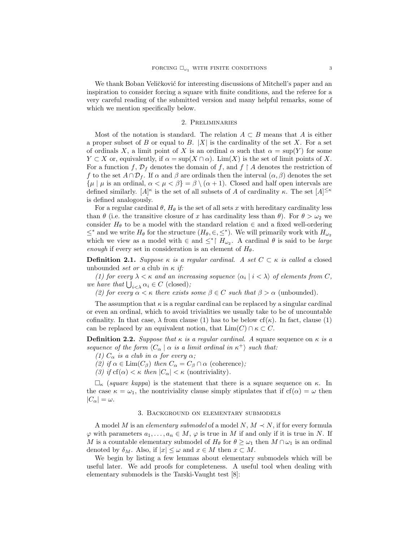We thank Boban Veličković for interesting discussions of Mitchell's paper and an inspiration to consider forcing a square with finite conditions, and the referee for a very careful reading of the submitted version and many helpful remarks, some of which we mention specifically below.

#### 2. Preliminaries

Most of the notation is standard. The relation  $A \subset B$  means that A is either a proper subset of B or equal to B.  $|X|$  is the cardinality of the set X. For a set of ordinals X, a limit point of X is an ordinal  $\alpha$  such that  $\alpha = \sup(Y)$  for some  $Y \subset X$  or, equivalently, if  $\alpha = \sup(X \cap \alpha)$ . Lim $(X)$  is the set of limit points of X. For a function f,  $\mathcal{D}_f$  denotes the domain of f, and  $f \restriction A$  denotes the restriction of f to the set  $A \cap \mathcal{D}_f$ . If  $\alpha$  and  $\beta$  are ordinals then the interval  $(\alpha, \beta)$  denotes the set  $\{\mu \mid \mu \text{ is an ordinal}, \alpha < \mu < \beta\} = \beta \setminus (\alpha + 1)$ . Closed and half open intervals are defined similarly.  $[A]^{\kappa}$  is the set of all subsets of A of cardinality κ. The set  $[A]^{\leq \kappa}$ is defined analogously.

For a regular cardinal  $\theta$ ,  $H_{\theta}$  is the set of all sets x with hereditary cardinality less than  $\theta$  (i.e. the transitive closure of x has cardinality less than  $\theta$ ). For  $\theta > \omega_2$  we consider  $H_{\theta}$  to be a model with the standard relation  $\in$  and a fixed well-ordering  $\leq^*$  and we write  $H_\theta$  for the structure  $(H_\theta, \in, \leq^*)$ . We will primarily work with  $H_{\omega_2}$ which we view as a model with  $\in$  and  $\leq^*$   $H_{\omega_2}$ . A cardinal  $\theta$  is said to be *large* enough if every set in consideration is an element of  $H_{\theta}$ .

**Definition 2.1.** Suppose  $\kappa$  is a regular cardinal. A set  $C \subset \kappa$  is called a closed unbounded set or a club in  $\kappa$  if:

(1) for every  $\lambda < \kappa$  and an increasing sequence  $\langle \alpha_i | i < \lambda \rangle$  of elements from C, we have that  $\bigcup_{i<\lambda} \alpha_i \in C$  (closed);

(2) for every  $\alpha < \kappa$  there exists some  $\beta \in C$  such that  $\beta > \alpha$  (unbounded).

The assumption that  $\kappa$  is a regular cardinal can be replaced by a singular cardinal or even an ordinal, which to avoid trivialities we usually take to be of uncountable cofinality. In that case,  $\lambda$  from clause (1) has to be below cf( $\kappa$ ). In fact, clause (1) can be replaced by an equivalent notion, that  $\text{Lim}(C) \cap \kappa \subset C$ .

**Definition 2.2.** Suppose that  $\kappa$  is a regular cardinal. A square sequence on  $\kappa$  is a sequence of the form  $\langle C_{\alpha} | \alpha \rangle$  is a limit ordinal in  $\kappa^+$  such that:

(1)  $C_{\alpha}$  is a club in  $\alpha$  for every  $\alpha$ ;

(2) if  $\alpha \in \text{Lim}(C_\beta)$  then  $C_\alpha = C_\beta \cap \alpha$  (coherence);

(3) if  $cf(\alpha) < \kappa$  then  $|C_{\alpha}| < \kappa$  (nontriviality).

 $\Box_{\kappa}$  (square kappa) is the statement that there is a square sequence on  $\kappa$ . In the case  $\kappa = \omega_1$ , the nontriviality clause simply stipulates that if  $cf(\alpha) = \omega$  then  $|C_{\alpha}| = \omega.$ 

## 3. Background on elementary submodels

A model M is an *elementary submodel* of a model N,  $M \prec N$ , if for every formula  $\varphi$  with parameters  $a_1, \ldots, a_n \in M$ ,  $\varphi$  is true in M if and only if it is true in N. If M is a countable elementary submodel of  $H_{\theta}$  for  $\theta \geq \omega_1$  then  $M \cap \omega_1$  is an ordinal denoted by  $\delta_M$ . Also, if  $|x| \leq \omega$  and  $x \in M$  then  $x \subset M$ .

We begin by listing a few lemmas about elementary submodels which will be useful later. We add proofs for completeness. A useful tool when dealing with elementary submodels is the Tarski-Vaught test [8]: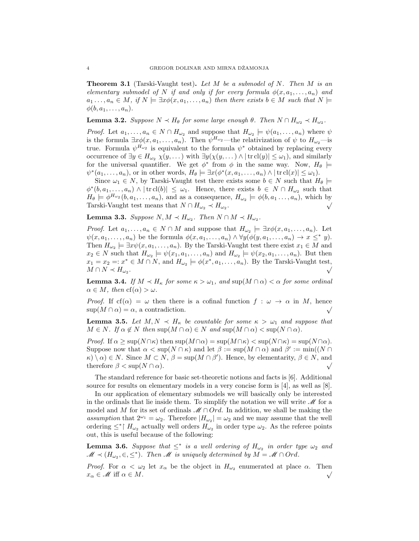**Theorem 3.1** (Tarski-Vaught test). Let M be a submodel of N. Then M is an elementary submodel of N if and only if for every formula  $\phi(x, a_1, \ldots, a_n)$  and  $a_1 \ldots, a_n \in M$ , if  $N \models \exists x \phi(x, a_1, \ldots, a_n)$  then there exists  $b \in M$  such that  $N \models$  $\phi(b, a_1, \ldots, a_n).$ 

**Lemma 3.2.** Suppose  $N \lt H_{\theta}$  for some large enough  $\theta$ . Then  $N \cap H_{\omega_2} \lt H_{\omega_2}$ .

*Proof.* Let  $a_1, \ldots, a_n \in N \cap H_{\omega_2}$  and suppose that  $H_{\omega_2} \models \psi(a_1, \ldots, a_n)$  where  $\psi$ is the formula  $\exists x \phi(x, a_1, \ldots, a_n)$ . Then  $\psi^{H_{\omega_2}}$ —the relativization of  $\psi$  to  $H_{\omega_2}$ —is true. Formula  $\psi^{H_{\omega_2}}$  is equivalent to the formula  $\psi^*$  obtained by replacing every occurrence of  $\exists y \in H_{\omega_2} \chi(y, \dots)$  with  $\exists y(\chi(y, \dots) \land |\text{tr } cl(y)| \leq \omega_1$ , and similarly for the universal quantifier. We get  $\phi^*$  from  $\phi$  in the same way. Now,  $H_{\theta}$   $\models$  $\psi^*(a_1,\ldots,a_n)$ , or in other words,  $H_\theta \models \exists x(\phi^*(x,a_1,\ldots,a_n) \land |\text{tr } cl(x)| \leq \omega_1)$ .

Since  $\omega_1 \in N$ , by Tarski-Vaught test there exists some  $b \in N$  such that  $H_\theta \models$  $\phi^*(b, a_1, \ldots, a_n) \wedge |\text{trcl}(b)| \leq \omega_1$ . Hence, there exists  $b \in N \cap H_{\omega_2}$  such that  $H_{\theta} \models \phi^{H_{\omega_2}}(b, a_1, \ldots, a_n)$ , and as a consequence,  $H_{\omega_2} \models \phi(b, a_1, \ldots, a_n)$ , which by Tarski-Vaught test means that  $N \cap H_{\omega_2} \prec H_{\omega_2}$ .

**Lemma 3.3.** Suppose  $N, M \prec H_{\omega_2}$ . Then  $N \cap M \prec H_{\omega_2}$ .

*Proof.* Let  $a_1, \ldots, a_n \in N \cap M$  and suppose that  $H_{\omega_2} \models \exists x \phi(x, a_1, \ldots, a_n)$ . Let  $\psi(x, a_1, \ldots, a_n)$  be the formula  $\phi(x, a_1, \ldots, a_n) \wedge \forall y (\phi(y, a_1, \ldots, a_n) \rightarrow x \leq^* y).$ Then  $H_{\omega_2} \models \exists x \psi(x, a_1, \dots, a_n)$ . By the Tarski-Vaught test there exist  $x_1 \in M$  and  $x_2 \in N$  such that  $H_{\omega_2} \models \psi(x_1, a_1, \ldots, a_n)$  and  $H_{\omega_2} \models \psi(x_2, a_1, \ldots, a_n)$ . But then  $x_1 = x_2 =: x^* \in M \cap N$ , and  $H_{\omega_2} \models \phi(x^*, a_1, \ldots, a_n)$ . By the Tarski-Vaught test,  $M \cap N \prec H_{\omega_2}.$ 

**Lemma 3.4.** If  $M \prec H_{\kappa}$  for some  $\kappa > \omega_1$ , and sup $(M \cap \alpha) < \alpha$  for some ordinal  $\alpha \in M$ , then  $cf(\alpha) > \omega$ .

*Proof.* If  $cf(\alpha) = \omega$  then there is a cofinal function  $f : \omega \to \alpha$  in M, hence  $\sup(M \cap \alpha) = \alpha$ , a contradiction.

**Lemma 3.5.** Let  $M, N \prec H_{\kappa}$  be countable for some  $\kappa > \omega_1$  and suppose that  $M \in N$ . If  $\alpha \notin N$  then  $\sup(M \cap \alpha) \in N$  and  $\sup(M \cap \alpha) < \sup(N \cap \alpha)$ .

Proof. If  $\alpha \ge \sup(N \cap \kappa)$  then  $\sup(M \cap \alpha) = \sup(M \cap \kappa) < \sup(N \cap \kappa) = \sup(N \cap \alpha)$ . Suppose now that  $\alpha < \sup(N \cap \kappa)$  and let  $\beta := \sup(M \cap \alpha)$  and  $\beta' := \min((N \cap \kappa))$  $\kappa$ ) \  $\alpha$ )  $\in$  N. Since  $M \subset N$ ,  $\beta$  = sup( $M \cap \beta'$ ). Hence, by elementarity,  $\beta \in N$ , and therefore  $\beta$  < sup( $N \cap \alpha$ ).

The standard reference for basic set-theoretic notions and facts is [6]. Additional source for results on elementary models in a very concise form is [4], as well as [8].

In our application of elementary submodels we will basically only be interested in the ordinals that lie inside them. To simplify the notation we will write  $\mathcal M$  for a model and M for its set of ordinals  $M \cap Ord$ . In addition, we shall be making the assumption that  $2^{\omega_1} = \omega_2$ . Therefore  $|H_{\omega_2}| = \omega_2$  and we may assume that the well ordering  $\leq^* \upharpoonright H_{\omega_2}$  actually well orders  $H_{\omega_2}$  in order type  $\omega_2$ . As the referee points out, this is useful because of the following:

**Lemma 3.6.** Suppose that  $\leq^*$  is a well ordering of  $H_{\omega_2}$  in order type  $\omega_2$  and  $\mathscr{M} \prec (H_{\omega_2}, \in, \leq^*)$ . Then  $\mathscr{M}$  is uniquely determined by  $M = \mathscr{M} \cap Ord$ .

*Proof.* For  $\alpha < \omega_2$  let  $x_\alpha$  be the object in  $H_{\omega_2}$  enumerated at place  $\alpha$ . Then  $x_{\alpha} \in \mathcal{M}$  iff  $\alpha \in M$ .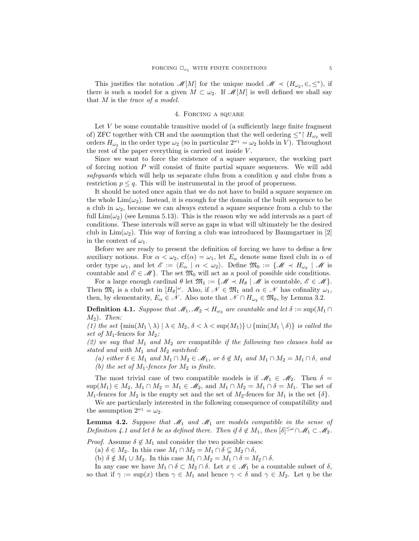This justifies the notation  $\mathscr{M}[M]$  for the unique model  $\mathscr{M} \prec (H_{\omega_2}, \in, \leq^*)$ , if there is such a model for a given  $M \subset \omega_2$ . If  $\mathscr{M}[M]$  is well defined we shall say that  $M$  is the trace of a model.

### 4. Forcing a square

Let  $V$  be some countable transitive model of (a sufficiently large finite fragment of) ZFC together with CH and the assumption that the well ordering  $\leq^*$  |  $H_{\omega_2}$  well orders  $H_{\omega_2}$  in the order type  $\omega_2$  (so in particular  $2^{\omega_1} = \omega_2$  holds in V). Throughout the rest of the paper everything is carried out inside V .

Since we want to force the existence of a square sequence, the working part of forcing notion  $P$  will consist of finite partial square sequences. We will add safeguards which will help us separate clubs from a condition q and clubs from a restriction  $p \leq q$ . This will be instrumental in the proof of properness.

It should be noted once again that we do not have to build a square sequence on the whole  $\text{Lim}(\omega_2)$ . Instead, it is enough for the domain of the built sequence to be a club in  $\omega_2$ , because we can always extend a square sequence from a club to the full  $\lim(\omega_2)$  (see Lemma 5.13). This is the reason why we add intervals as a part of conditions. These intervals will serve as gaps in what will ultimately be the desired club in  $\text{Lim}(\omega_2)$ . This way of forcing a club was introduced by Baumgartner in [2] in the context of  $\omega_1$ .

Before we are ready to present the definition of forcing we have to define a few auxiliary notions. For  $\alpha < \omega_2$ ,  $cf(\alpha) = \omega_1$ , let  $E_\alpha$  denote some fixed club in  $\alpha$  of order type  $\omega_1$ , and let  $\mathscr{E} := \langle E_\alpha \mid \alpha < \omega_2 \rangle$ . Define  $\mathfrak{M}_0 := \{ \mathscr{M} \prec H_{\omega_2} \mid \mathscr{M} \text{ is } \}$ countable and  $\mathscr{E} \in \mathscr{M}$ . The set  $\mathfrak{M}_0$  will act as a pool of possible side conditions.

For a large enough cardinal  $\theta$  let  $\mathfrak{M}_1 := \{ \mathscr{M} \prec H_\theta \mid \mathscr{M}$  is countable,  $\mathscr{E} \in \mathscr{M} \}.$ Then  $\mathfrak{M}_1$  is a club set in  $[H_\theta]^\omega$ . Also, if  $\mathscr{N} \in \mathfrak{M}_1$  and  $\alpha \in \mathscr{N}$  has cofinality  $\omega_1$ , then, by elementarity,  $E_{\alpha} \in \mathcal{N}$ . Also note that  $\mathcal{N} \cap H_{\omega_2} \in \mathfrak{M}_0$ , by Lemma 3.2.

**Definition 4.1.** Suppose that  $\mathcal{M}_1, \mathcal{M}_2 \prec H_{\omega_2}$  are countable and let  $\delta := \sup(M_1 \cap$  $M_2$ ). Then:

(1) the set  $\{\min(M_1 \setminus \lambda) \mid \lambda \in M_2, \delta < \lambda < \sup(M_1) \} \cup \{\min(M_1 \setminus \delta)\}\$ is called the set of  $M_1$ -fences for  $M_2$ ;

(2) we say that  $M_1$  and  $M_2$  are compatible if the following two clauses hold as stated and with  $M_1$  and  $M_2$  switched:

(a) either  $\delta \in M_1$  and  $M_1 \cap M_2 \in \mathcal{M}_1$ , or  $\delta \notin M_1$  and  $M_1 \cap M_2 = M_1 \cap \delta$ , and (b) the set of  $M_1$ -fences for  $M_2$  is finite.

The most trivial case of two compatible models is if  $\mathcal{M}_1 \in \mathcal{M}_2$ . Then  $\delta =$  $\sup(M_1) \in M_2$ ,  $M_1 \cap M_2 = M_1 \in \mathcal{M}_2$ , and  $M_1 \cap M_2 = M_1 \cap \delta = M_1$ . The set of  $M_1$ -fences for  $M_2$  is the empty set and the set of  $M_2$ -fences for  $M_1$  is the set  $\{\delta\}$ .

We are particularly interested in the following consequence of compatibility and the assumption  $2^{\omega_1} = \omega_2$ .

**Lemma 4.2.** Suppose that  $\mathcal{M}_1$  and  $\mathcal{M}_1$  are models compatible in the sense of Definition 4.1 and let  $\delta$  be as defined there. Then if  $\delta \notin M_1$ , then  $[\delta]^{\leq \omega} \cap \mathscr{M}_1 \subset \mathscr{M}_2$ .

*Proof.* Assume  $\delta \notin M_1$  and consider the two possible cases:

(a)  $\delta \in M_2$ . In this case  $M_1 \cap M_2 = M_1 \cap \delta \subsetneq M_2 \cap \delta$ ,

(b)  $\delta \notin M_1 \cup M_2$ . In this case  $M_1 \cap M_2 = M_1 \cap \delta = M_2 \cap \delta$ .

In any case we have  $M_1 \cap \delta \subset M_2 \cap \delta$ . Let  $x \in \mathscr{M}_1$  be a countable subset of  $\delta$ , so that if  $\gamma := \sup(x)$  then  $\gamma \in M_1$  and hence  $\gamma < \delta$  and  $\gamma \in M_2$ . Let  $\eta$  be the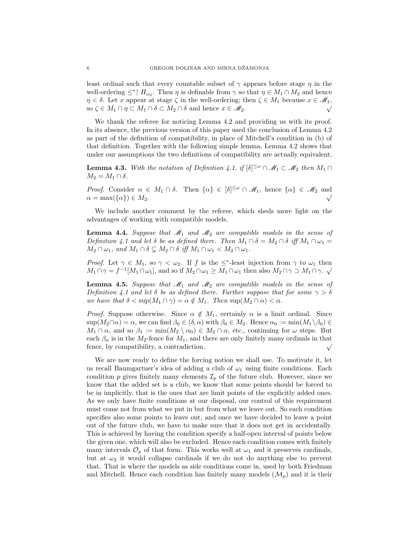least ordinal such that every countable subset of  $\gamma$  appears before stage  $\eta$  in the well-ordering  $\leq^* \upharpoonright H_{\omega_2}$ . Then  $\eta$  is definable from  $\gamma$  so that  $\eta \in M_1 \cap M_2$  and hence  $\eta < \delta$ . Let x appear at stage  $\zeta$  in the well-ordering; then  $\zeta \in M_1$  because  $x \in M_1$ , so  $\zeta \in M_1 \cap \eta \subset M_1 \cap \delta \subset M_2 \cap \delta$  and hence  $x \in \mathscr{M}_2$ .

We thank the referee for noticing Lemma 4.2 and providing us with its proof. In its absence, the previous version of this paper used the conclusion of Lemma 4.2 as part of the definition of compatibility, in place of Mitchell's condition in (b) of that definition. Together with the following simple lemma, Lemma 4.2 shows that under our assumptions the two definitions of compatibility are actually equivalent.

**Lemma 4.3.** With the notation of Definition 4.1, if  $[\delta]^{\leq \omega} \cap \mathcal{M}_1 \subset \mathcal{M}_2$  then  $M_1 \cap$  $M_2 = M_1 \cap \delta.$ 

Proof. Consider  $\alpha \in M_1 \cap \delta$ . Then  $\{\alpha\} \in [\delta]^{\leq \omega} \cap \mathscr{M}_1$ , hence  $\{\alpha\} \in \mathscr{M}_2$  and  $\alpha = \max(\{\alpha\}) \in M_2.$ 

We include another comment by the referee, which sheds more light on the advantages of working with compatible models.

**Lemma 4.4.** Suppose that  $\mathcal{M}_1$  and  $\mathcal{M}_2$  are compatible models in the sense of Definition 4.1 and let  $\delta$  be as defined there. Then  $M_1 \cap \delta = M_2 \cap \delta$  iff  $M_1 \cap \omega_1 =$  $M_2 \cap \omega_1$ , and  $M_1 \cap \delta \subsetneq M_2 \cap \delta$  iff  $M_1 \cap \omega_1 < M_2 \cap \omega_1$ .

Proof. Let  $\gamma \in M_1$ , so  $\gamma < \omega_2$ . If f is the  $\leq^*$ -least injection from  $\gamma$  to  $\omega_1$  then  $M_1 \cap \gamma = f^{-1}[M_1 \cap \omega_1]$ , and so if  $M_2 \cap \omega_1 \geq M_1 \cap \omega_1$  then also  $M_2 \cap \gamma \supset M_1 \cap \gamma$ .

**Lemma 4.5.** Suppose that  $\mathcal{M}_1$  and  $\mathcal{M}_2$  are compatible models in the sense of Definition 4.1 and let  $\delta$  be as defined there. Further suppose that for some  $\gamma > \delta$ we have that  $\delta < \sup(M_1 \cap \gamma) = \alpha \notin M_1$ . Then  $\sup(M_2 \cap \alpha) < \alpha$ .

*Proof.* Suppose otherwise. Since  $\alpha \notin M_1$ , certainly  $\alpha$  is a limit ordinal. Since  $\sup(M_2 \cap \alpha) = \alpha$ , we can find  $\beta_0 \in (\delta, \alpha)$  with  $\beta_0 \in M_2$ . Hence  $\alpha_0 := \min(M_1 \setminus \beta_0) \in$  $M_1 \cap \alpha$ , and so  $\beta_1 := \min(M_2 \setminus \alpha_0) \in M_2 \cap \alpha$ , etc., continuing for  $\omega$  steps. But each  $\beta_n$  is in the  $M_2$ -fence for  $M_1$ , and there are only finitely many ordinals in that fence, by compatibility, a contradiction.

We are now ready to define the forcing notion we shall use. To motivate it, let us recall Baumgartner's idea of adding a club of  $\omega_1$  using finite conditions. Each condition p gives finitely many elements  $\mathcal{I}_p$  of the future club. However, since we know that the added set is a club, we know that some points should be forced to be in implicitly, that is the ones that are limit points of the explicitly added ones. As we only have finite conditions at our disposal, our control of this requirement must come not from what we put in but from what we leave out. So each condition specifies also some points to leave out, and once we have decided to leave a point out of the future club, we have to make sure that it does not get in accidentally. This is achieved by having the condition specify a half-open interval of points below the given one, which will also be excluded. Hence each condition comes with finitely many intervals  $\mathcal{O}_p$  of that form. This works well at  $\omega_1$  and it preserves cardinals, but at  $\omega_2$  it would collapse cardinals if we do not do anything else to prevent that. That is where the models as side conditions come in, used by both Friedman and Mitchell. Hence each condition has finitely many models  $(\mathcal{M}_n)$  and it is their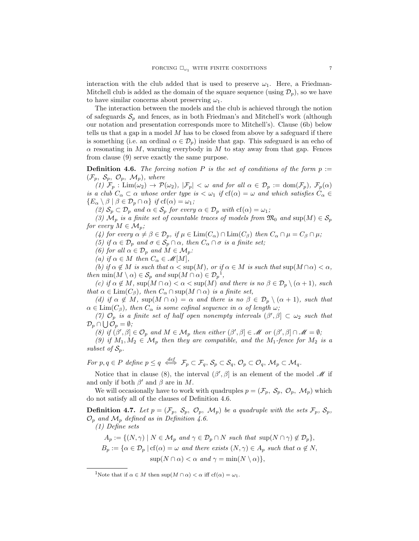interaction with the club added that is used to preserve  $\omega_1$ . Here, a Friedman-Mitchell club is added as the domain of the square sequence (using  $\mathcal{D}_p$ ), so we have to have similar concerns about preserving  $\omega_1$ .

The interaction between the models and the club is achieved through the notion of safeguards  $S_p$  and fences, as in both Friedman's and Mitchell's work (although our notation and presentation corresponds more to Mitchell's). Clause (6b) below tells us that a gap in a model  $M$  has to be closed from above by a safeguard if there is something (i.e. an ordinal  $\alpha \in \mathcal{D}_p$ ) inside that gap. This safeguard is an echo of  $\alpha$  resonating in M, warning everybody in M to stay away from that gap. Fences from clause (9) serve exactly the same purpose.

**Definition 4.6.** The forcing notion P is the set of conditions of the form  $p :=$  $(\mathcal{F}_p, \mathcal{S}_p, \mathcal{O}_p, \mathcal{M}_p)$ , where

(1)  $\mathcal{F}_p$ : Lim $(\omega_2) \to \mathcal{P}(\omega_2)$ ,  $|\mathcal{F}_p| < \omega$  and for all  $\alpha \in \mathcal{D}_p := \text{dom}(\mathcal{F}_p)$ ,  $\mathcal{F}_p(\alpha)$ is a club  $C_\alpha \subset \alpha$  whose order type is  $\lt \omega_1$  if  $cf(\alpha) = \omega$  and which satisfies  $C_\alpha \in$  ${E_{\alpha} \setminus \beta \mid \beta \in \mathcal{D}_p \cap \alpha} \text{ if } cf(\alpha) = \omega_1;$ 

(2)  $S_p \subset \mathcal{D}_p$  and  $\alpha \in \mathcal{S}_p$  for every  $\alpha \in \mathcal{D}_p$  with  $cf(\alpha) = \omega_1$ ;

(3)  $\mathcal{M}_p$  is a finite set of countable traces of models from  $\mathfrak{M}_0$  and  $\text{sup}(M) \in \mathcal{S}_p$ for every  $M \in \mathcal{M}_p$ ;

(4) for every  $\alpha \neq \beta \in \mathcal{D}_p$ , if  $\mu \in \text{Lim}(C_\alpha) \cap \text{Lim}(C_\beta)$  then  $C_\alpha \cap \mu = C_\beta \cap \mu$ ;

(5) if  $\alpha \in \mathcal{D}_p$  and  $\sigma \in \mathcal{S}_p \cap \alpha$ , then  $C_\alpha \cap \sigma$  is a finite set;

(6) for all  $\alpha \in \mathcal{D}_p$  and  $M \in \mathcal{M}_p$ :

(a) if  $\alpha \in M$  then  $C_{\alpha} \in \mathcal{M}[M],$ 

(b) if  $\alpha \notin M$  is such that  $\alpha < \sup(M)$ , or if  $\alpha \in M$  is such that  $\sup(M \cap \alpha) < \alpha$ , then  $\min(M \setminus \alpha) \in \mathcal{S}_p$  and  $\sup(M \cap \alpha) \in \mathcal{D}_p^{-1}$ ,

(c) if  $\alpha \notin M$ , sup $(M \cap \alpha) < \alpha < \sup(M)$  and there is no  $\beta \in \mathcal{D}_p \setminus (\alpha + 1)$ , such that  $\alpha \in \text{Lim}(C_\beta)$ , then  $C_\alpha \cap \text{sup}(M \cap \alpha)$  is a finite set,

(d) if  $\alpha \notin M$ ,  $\sup(M \cap \alpha) = \alpha$  and there is no  $\beta \in \mathcal{D}_p \setminus (\alpha + 1)$ , such that  $\alpha \in \text{Lim}(C_\beta)$ , then  $C_\alpha$  is some cofinal sequence in  $\alpha$  of length  $\omega$ ;

(7)  $\mathcal{O}_p$  is a finite set of half open nonempty intervals  $(\beta', \beta] \subset \omega_2$  such that  $\mathcal{D}_p \cap \bigcup \mathcal{O}_p = \emptyset;$ 

(8) if  $(\beta', \beta] \in \mathcal{O}_p$  and  $M \in \mathcal{M}_p$  then either  $(\beta', \beta] \in \mathcal{M}$  or  $(\beta', \beta] \cap \mathcal{M} = \emptyset$ ;

(9) if  $M_1, M_2 \in \mathcal{M}_p$  then they are compatible, and the  $M_1$ -fence for  $M_2$  is a subset of  $S_p$ .

For  $p, q \in P$  define  $p \leq q \iff \mathcal{F}_p \subset \mathcal{F}_q$ ,  $\mathcal{S}_p \subset \mathcal{S}_q$ ,  $\mathcal{O}_p \subset \mathcal{O}_q$ ,  $\mathcal{M}_p \subset \mathcal{M}_q$ .

Notice that in clause (8), the interval  $(\beta', \beta]$  is an element of the model  $\mathcal M$  if and only if both  $\beta'$  and  $\beta$  are in M.

We will occasionally have to work with quadruples  $p = (\mathcal{F}_p, \mathcal{S}_p, \mathcal{O}_p, \mathcal{M}_p)$  which do not satisfy all of the clauses of Definition 4.6.

**Definition 4.7.** Let  $p = (\mathcal{F}_p, \mathcal{S}_p, \mathcal{O}_p, \mathcal{M}_p)$  be a quadruple with the sets  $\mathcal{F}_p, \mathcal{S}_p$ ,  $\mathcal{O}_p$  and  $\mathcal{M}_p$  defined as in Definition 4.6.

(1) Define sets

 $A_p := \{(N, \gamma) \mid N \in \mathcal{M}_p \text{ and } \gamma \in \mathcal{D}_p \cap N \text{ such that } \sup(N \cap \gamma) \notin \mathcal{D}_p\},\$  $B_p := {\alpha \in \mathcal{D}_p \mid cf(\alpha) = \omega \text{ and there exists } (N, \gamma) \in A_p \text{ such that } \alpha \notin N,$  $\sup(N \cap \alpha) < \alpha$  and  $\gamma = \min(N \setminus \alpha)$ ,

<sup>&</sup>lt;sup>1</sup>Note that if  $\alpha \in M$  then  $\sup(M \cap \alpha) < \alpha$  iff  $cf(\alpha) = \omega_1$ .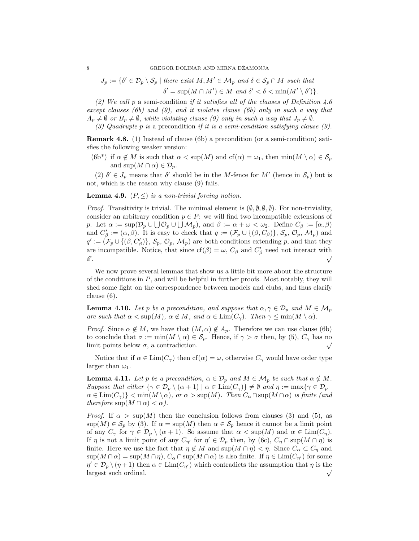$J_p := \{ \delta' \in \mathcal{D}_p \setminus \mathcal{S}_p \mid \text{there exist } M, M' \in \mathcal{M}_p \text{ and } \delta \in \mathcal{S}_p \cap M \text{ such that }$  $\delta' = \sup(M \cap M') \in M$  and  $\delta' < \delta < \min(M' \setminus \delta')$ .

(2) We call p a semi-condition if it satisfies all of the clauses of Definition 4.6 except clauses (6b) and (9), and it violates clause (6b) only in such a way that  $A_p \neq \emptyset$  or  $B_p \neq \emptyset$ , while violating clause (9) only in such a way that  $J_p \neq \emptyset$ .

(3) Quadruple p is a precondition if it is a semi-condition satisfying clause  $(9)$ .

Remark 4.8. (1) Instead of clause (6b) a precondition (or a semi-condition) satisfies the following weaker version:

(6b\*) if  $\alpha \notin M$  is such that  $\alpha < \sup(M)$  and  $cf(\alpha) = \omega_1$ , then  $\min(M \setminus \alpha) \in S_p$ and  $\sup(M \cap \alpha) \in \mathcal{D}_p$ .

(2)  $\delta' \in J_p$  means that  $\delta'$  should be in the M-fence for M' (hence in  $S_p$ ) but is not, which is the reason why clause (9) fails.

**Lemma 4.9.**  $(P, \leq)$  is a non-trivial forcing notion.

*Proof.* Transitivity is trivial. The minimal element is  $(\emptyset, \emptyset, \emptyset, \emptyset)$ . For non-triviality, consider an arbitrary condition  $p \in P$ : we will find two incompatible extensions of p. Let  $\alpha := \sup(\mathcal{D}_p \cup \bigcup \mathcal{O}_p \cup \bigcup \mathcal{M}_p)$ , and  $\beta := \alpha + \omega < \omega_2$ . Define  $C_\beta := [\alpha, \beta)$ and  $C'_{\beta} := (\alpha, \beta)$ . It is easy to check that  $q := (\mathcal{F}_p \cup \{(\beta, C_{\beta})\}, \mathcal{S}_p, \mathcal{O}_p, \mathcal{M}_p)$  and  $q' := (\mathcal{F}_p \cup \{(\beta, C'_\beta)\}, \mathcal{S}_p, \mathcal{O}_p, \mathcal{M}_p)$  are both conditions extending p, and that they are incompatible. Notice, that since  $cf(\beta) = \omega$ ,  $C_{\beta}$  and  $C'_{\beta}$  need not interact with  $\mathscr{E}.$ 

We now prove several lemmas that show us a little bit more about the structure of the conditions in  $P$ , and will be helpful in further proofs. Most notably, they will shed some light on the correspondence between models and clubs, and thus clarify clause (6).

**Lemma 4.10.** Let p be a precondition, and suppose that  $\alpha, \gamma \in \mathcal{D}_p$  and  $M \in \mathcal{M}_p$ are such that  $\alpha < \sup(M)$ ,  $\alpha \notin M$ , and  $\alpha \in \text{Lim}(C_{\gamma})$ . Then  $\gamma \le \min(M \setminus \alpha)$ .

*Proof.* Since  $\alpha \notin M$ , we have that  $(M, \alpha) \notin A_p$ . Therefore we can use clause (6b) to conclude that  $\sigma := \min(M \setminus \alpha) \in \mathcal{S}_p$ . Hence, if  $\gamma > \sigma$  then, by (5),  $C_{\gamma}$  has no limit points below  $\sigma$ , a contradiction.

Notice that if  $\alpha \in \text{Lim}(C_\gamma)$  then  $cf(\alpha) = \omega$ , otherwise  $C_\gamma$  would have order type larger than  $\omega_1$ .

**Lemma 4.11.** Let p be a precondition,  $\alpha \in \mathcal{D}_p$  and  $M \in \mathcal{M}_p$  be such that  $\alpha \notin M$ . Suppose that either  $\{\gamma \in \mathcal{D}_p \setminus (\alpha + 1) \mid \alpha \in \text{Lim}(C_{\gamma})\} \neq \emptyset$  and  $\eta := \max\{\gamma \in \mathcal{D}_p \mid \alpha \in \text{Im}(C_{\gamma})\}$  $\alpha \in \text{Lim}(C_{\gamma})$  < min $(M \setminus \alpha)$ , or  $\alpha > \sup(M)$ . Then  $C_{\alpha} \cap \sup(M \cap \alpha)$  is finite (and therefore  $\sup(M \cap \alpha) < \alpha$ ).

*Proof.* If  $\alpha > \sup(M)$  then the conclusion follows from clauses (3) and (5), as  $\sup(M) \in \mathcal{S}_p$  by (3). If  $\alpha = \sup(M)$  then  $\alpha \in \mathcal{S}_p$  hence it cannot be a limit point of any  $C_{\gamma}$  for  $\gamma \in \mathcal{D}_p \setminus (\alpha + 1)$ . So assume that  $\alpha < \sup(M)$  and  $\alpha \in \text{Lim}(C_n)$ . If  $\eta$  is not a limit point of any  $C_{\eta'}$  for  $\eta' \in \mathcal{D}_p$  then, by (6c),  $C_{\eta} \cap \sup(M \cap \eta)$  is finite. Here we use the fact that  $\eta \notin M$  and  $\sup(M \cap \eta) < \eta$ . Since  $C_{\alpha} \subset C_{\eta}$  and  $\sup(M \cap \alpha) = \sup(M \cap \eta), C_\alpha \cap \sup(M \cap \alpha)$  is also finite. If  $\eta \in \text{Lim}(C_{\eta'})$  for some  $\eta' \in \mathcal{D}_p \setminus (\eta + 1)$  then  $\alpha \in \text{Lim}(C_{\eta'})$  which contradicts the assumption that  $\eta$  is the largest such ordinal.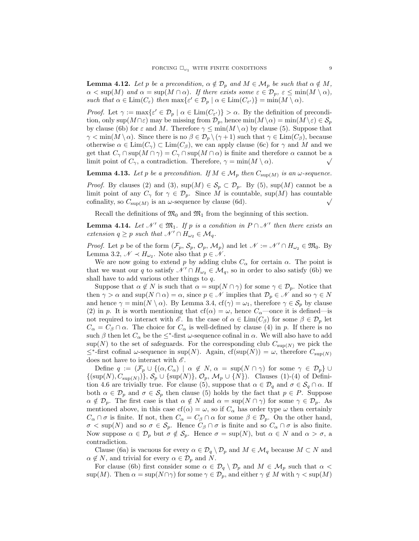**Lemma 4.12.** Let p be a precondition,  $\alpha \notin \mathcal{D}_p$  and  $M \in \mathcal{M}_p$  be such that  $\alpha \notin M$ ,  $\alpha < \sup(M)$  and  $\alpha = \sup(M \cap \alpha)$ . If there exists some  $\varepsilon \in \mathcal{D}_p$ ,  $\varepsilon \le \min(M \setminus \alpha)$ , such that  $\alpha \in \text{Lim}(C_{\varepsilon})$  then  $\max\{\varepsilon' \in \mathcal{D}_p \mid \alpha \in \text{Lim}(C_{\varepsilon'})\} = \min(M \setminus \alpha)$ .

Proof. Let  $\gamma := \max\{\varepsilon' \in \mathcal{D}_p \mid \alpha \in \text{Lim}(C_{\varepsilon'})\} > \alpha$ . By the definition of precondition, only sup $(M \cap \varepsilon)$  may be missing from  $\mathcal{D}_p$ , hence  $\min(M \setminus \alpha) = \min(M \setminus \varepsilon) \in \mathcal{S}_p$ by clause (6b) for  $\varepsilon$  and M. Therefore  $\gamma \le \min(M \setminus \alpha)$  by clause (5). Suppose that  $\gamma < \min(M \setminus \alpha)$ . Since there is no  $\beta \in \mathcal{D}_p \setminus (\gamma + 1)$  such that  $\gamma \in \text{Lim}(C_\beta)$ , because otherwise  $\alpha \in \text{Lim}(C_\gamma) \subset \text{Lim}(C_\beta)$ , we can apply clause (6c) for  $\gamma$  and M and we get that  $C_\gamma \cap \sup(M \cap \gamma) = C_\gamma \cap \sup(M \cap \alpha)$  is finite and therefore  $\alpha$  cannot be a limit point of  $C_{\gamma}$ , a contradiction. Therefore,  $\gamma = \min(M \setminus \alpha)$ .  $\sqrt{\phantom{a}}$ 

**Lemma 4.13.** Let p be a precondition. If  $M \in \mathcal{M}_p$  then  $C_{\text{sup}(M)}$  is an  $\omega$ -sequence.

*Proof.* By clauses (2) and (3),  $\sup(M) \in \mathcal{S}_p \subset \mathcal{D}_p$ . By (5),  $\sup(M)$  cannot be a limit point of any  $C_{\gamma}$  for  $\gamma \in \mathcal{D}_p$ . Since M is countable, sup(M) has countable cofinality, so  $C_{\text{sup}(M)}$  is an  $\omega$ -sequence by clause (6d). cofinality, so  $C_{\sup(M)}$  is an  $\omega$ -sequence by clause (6d).

Recall the definitions of  $\mathfrak{M}_0$  and  $\mathfrak{M}_1$  from the beginning of this section.

**Lemma 4.14.** Let  $\mathcal{N}' \in \mathfrak{M}_1$ . If p is a condition in  $P \cap \mathcal{N}'$  then there exists an extension  $q \geq p$  such that  $\mathcal{N}' \cap H_{\omega_2} \in \mathcal{M}_q$ .

*Proof.* Let p be of the form  $(\mathcal{F}_p, \mathcal{S}_p, \mathcal{O}_p, \mathcal{M}_p)$  and let  $\mathcal{N} := \mathcal{N}' \cap H_{\omega_2} \in \mathfrak{M}_0$ . By Lemma 3.2,  $\mathcal{N} \prec H_{\omega_2}$ . Note also that  $p \in \mathcal{N}$ .

We are now going to extend p by adding clubs  $C_{\alpha}$  for certain  $\alpha$ . The point is that we want our q to satisfy  $\mathcal{N}' \cap H_{\omega_2} \in \mathcal{M}_q$ , so in order to also satisfy (6b) we shall have to add various other things to  $q$ .

Suppose that  $\alpha \notin N$  is such that  $\alpha = \sup(N \cap \gamma)$  for some  $\gamma \in \mathcal{D}_p$ . Notice that then  $\gamma > \alpha$  and sup $(N \cap \alpha) = \alpha$ , since  $p \in \mathcal{N}$  implies that  $\mathcal{D}_p \in \mathcal{N}$  and so  $\gamma \in N$ and hence  $\gamma = \min(N \setminus \alpha)$ . By Lemma 3.4,  $cf(\gamma) = \omega_1$ , therefore  $\gamma \in S_p$  by clause (2) in p. It is worth mentioning that cf( $\alpha$ ) =  $\omega$ , hence  $C_{\alpha}$ —once it is defined—is not required to interact with  $\mathscr{E}$ . In the case of  $\alpha \in \text{Lim}(C_{\beta})$  for some  $\beta \in \mathcal{D}_p$  let  $C_{\alpha} = C_{\beta} \cap \alpha$ . The choice for  $C_{\alpha}$  is well-defined by clause (4) in p. If there is no such  $\beta$  then let  $C_{\alpha}$  be the  $\leq^*$ -first  $\omega$ -sequence cofinal in  $\alpha$ . We will also have to add  $\sup(N)$  to the set of safeguards. For the corresponding club  $C_{\sup(N)}$  we pick the  $≤$ <sup>\*</sup>-first cofinal ω-sequence in sup(N). Again, cf(sup(N)) = ω, therefore  $C_{sup(N)}$ does not have to interact with  $\mathscr{E}.$ 

Define  $q := (\mathcal{F}_p \cup \{(\alpha, C_\alpha) \mid \alpha \notin N, \alpha = \sup(N \cap \gamma) \text{ for some } \gamma \in \mathcal{D}_p\} \cup$  $\{(\sup(N), C_{\sup(N)})\}, \mathcal{S}_p \cup \{\sup(N)\}, \mathcal{O}_p, \mathcal{M}_p \cup \{N\})$ . Clauses (1)-(4) of Definition 4.6 are trivially true. For clause (5), suppose that  $\alpha \in \mathcal{D}_q$  and  $\sigma \in \mathcal{S}_q \cap \alpha$ . If both  $\alpha \in \mathcal{D}_p$  and  $\sigma \in \mathcal{S}_p$  then clause (5) holds by the fact that  $p \in P$ . Suppose  $\alpha \notin \mathcal{D}_p$ . The first case is that  $\alpha \notin N$  and  $\alpha = \sup(N \cap \gamma)$  for some  $\gamma \in \mathcal{D}_p$ . As mentioned above, in this case  $cf(\alpha) = \omega$ , so if  $C_{\alpha}$  has order type  $\omega$  then certainly  $C_{\alpha} \cap \sigma$  is finite. If not, then  $C_{\alpha} = C_{\beta} \cap \alpha$  for some  $\beta \in \mathcal{D}_p$ . On the other hand,  $\sigma < \sup(N)$  and so  $\sigma \in \mathcal{S}_p$ . Hence  $C_\beta \cap \sigma$  is finite and so  $C_\alpha \cap \sigma$  is also finite. Now suppose  $\alpha \in \mathcal{D}_p$  but  $\sigma \notin \mathcal{S}_p$ . Hence  $\sigma = \sup(N)$ , but  $\alpha \in N$  and  $\alpha > \sigma$ , a contradiction.

Clause (6a) is vacuous for every  $\alpha \in \mathcal{D}_q \setminus \mathcal{D}_p$  and  $M \in \mathcal{M}_q$  because  $M \subset N$  and  $\alpha \notin N$ , and trivial for every  $\alpha \in \mathcal{D}_p$  and N.

For clause (6b) first consider some  $\alpha \in \mathcal{D}_q \setminus \mathcal{D}_p$  and  $M \in \mathcal{M}_p$  such that  $\alpha$  $\sup(M)$ . Then  $\alpha = \sup(N \cap \gamma)$  for some  $\gamma \in \mathcal{D}_p$ , and either  $\gamma \notin M$  with  $\gamma < \sup(M)$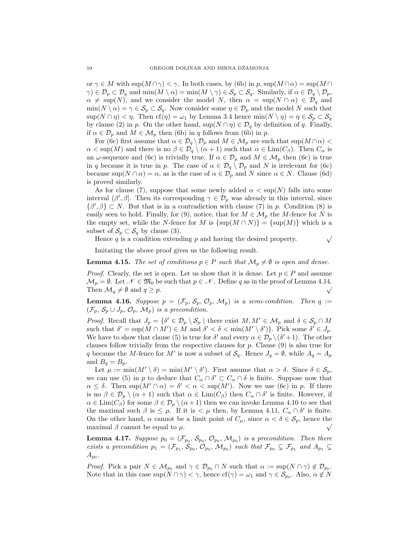or  $\gamma \in M$  with  $\sup(M \cap \gamma) < \gamma$ . In both cases, by (6b) in p,  $\sup(M \cap \alpha) = \sup(M \cap \alpha)$  $\gamma$ )  $\in \mathcal{D}_p \subset \mathcal{D}_q$  and  $\min(M \setminus \alpha) = \min(M \setminus \gamma) \in \mathcal{S}_p \subset \mathcal{S}_q$ . Similarly, if  $\alpha \in \mathcal{D}_q \setminus \mathcal{D}_p$ ,  $\alpha \neq \sup(N)$ , and we consider the model N, then  $\alpha = \sup(N \cap \alpha) \in \mathcal{D}_q$  and  $\min(N \setminus \alpha) = \gamma \in \mathcal{S}_p \subset \mathcal{S}_q$ . Now consider some  $\eta \in \mathcal{D}_p$  and the model N such that  $\sup(N \cap \eta) < \eta$ . Then  $cf(\eta) = \omega_1$  by Lemma 3.4 hence  $\min(N \setminus \eta) = \eta \in \mathcal{S}_p \subset \mathcal{S}_q$ by clause (2) in p. On the other hand,  $\sup(N \cap \eta) \in \mathcal{D}_q$  by definition of q. Finally, if  $\alpha \in \mathcal{D}_p$  and  $M \in \mathcal{M}_p$  then (6b) in q follows from (6b) in p.

For (6c) first assume that  $\alpha \in \mathcal{D}_q \setminus \mathcal{D}_p$  and  $M \in \mathcal{M}_p$  are such that sup $(M \cap \alpha)$  $\alpha < \sup(M)$  and there is no  $\beta \in \mathcal{D}_q \setminus (\alpha + 1)$  such that  $\alpha \in \text{Lim}(C_\beta)$ . Then  $C_\alpha$  is an  $\omega$ -sequence and (6c) is trivially true. If  $\alpha \in \mathcal{D}_p$  and  $M \in \mathcal{M}_p$  then (6c) is true in q because it is true in p. The case of  $\alpha \in \mathcal{D}_q \setminus \mathcal{D}_p$  and N is irrelevant for (6c) because  $\sup(N \cap \alpha) = \alpha$ , as is the case of  $\alpha \in \mathcal{D}_p$  and N since  $\alpha \in N$ . Clause (6d) is proved similarly.

As for clause (7), suppose that some newly added  $\alpha < \sup(N)$  falls into some interval  $(\beta', \beta]$ . Then its corresponding  $\gamma \in \mathcal{D}_p$  was already in this interval, since  $\{\beta', \beta\} \subset N$ . But that is in a contradiction with clause (7) in p. Condition (8) is easily seen to hold. Finally, for (9), notice, that for  $M \in \mathcal{M}_p$  the M-fence for N is the empty set, while the N-fence for M is  $\{\sup(M \cap N)\} = \{\sup(M)\}\$  which is a subset of  $\mathcal{S}_p \subset \mathcal{S}_q$  by clause (3).

Hence q is a condition extending p and having the desired property.  $\sqrt{}$ 

Imitating the above proof gives us the following result.

**Lemma 4.15.** The set of conditions  $p \in P$  such that  $\mathcal{M}_p \neq \emptyset$  is open and dense.

*Proof.* Clearly, the set is open. Let us show that it is dense. Let  $p \in P$  and assume  $\mathcal{M}_p = \emptyset$ . Let  $\mathcal{N} \in \mathfrak{M}_0$  be such that  $p \in \mathcal{N}$ . Define q as in the proof of Lemma 4.14. Then  $\mathcal{M}_q \neq \emptyset$  and  $q \geq p$ .

**Lemma 4.16.** Suppose  $p = (\mathcal{F}_p, \mathcal{S}_p, \mathcal{O}_p, \mathcal{M}_p)$  is a semi-condition. Then  $q :=$  $(\mathcal{F}_p, \mathcal{S}_p \cup J_p, \mathcal{O}_p, \mathcal{M}_p)$  is a precondition.

*Proof.* Recall that  $J_p = \{ \delta' \in \mathcal{D}_p \setminus \mathcal{S}_p \mid \text{there exist } M, M' \in \mathcal{M}_p \text{ and } \delta \in \mathcal{S}_p \cap M \}$ such that  $\delta' = \sup(M \cap M') \in M$  and  $\delta' < \delta < \min(M' \setminus \delta')$ . Pick some  $\delta' \in J_p$ . We have to show that clause (5) is true for  $\delta'$  and every  $\alpha \in \mathcal{D}_p \setminus (\delta' + 1)$ . The other clauses follow trivially from the respective clauses for  $p$ . Clause  $(9)$  is also true for q because the M-fence for M' is now a subset of  $\mathcal{S}_q$ . Hence  $J_q = \emptyset$ , while  $A_q = A_p$ and  $B_q = B_p$ .

Let  $\mu := \min(M' \setminus \delta) = \min(M' \setminus \delta')$ . First assume that  $\alpha > \delta$ . Since  $\delta \in \mathcal{S}_p$ , we can use (5) in p to deduce that  $C_{\alpha} \cap \delta' \subset C_{\alpha} \cap \delta$  is finite. Suppose now that  $\alpha \leq \delta$ . Then sup $(M' \cap \alpha) = \delta' < \alpha < \sup(M')$ . Now we use (6c) in p. If there is no  $\beta \in \mathcal{D}_p \setminus (\alpha + 1)$  such that  $\alpha \in \text{Lim}(C_\beta)$  then  $C_\alpha \cap \delta'$  is finite. However, if  $\alpha \in \text{Lim}(C_\beta)$  for some  $\beta \in \mathcal{D}_p \setminus (\alpha+1)$  then we can invoke Lemma 4.10 to see that the maximal such  $\beta$  is  $\leq \mu$ . If it is  $\lt \mu$  then, by Lemma 4.11,  $C_{\alpha} \cap \delta'$  is finite. On the other hand,  $\alpha$  cannot be a limit point of  $C_{\mu}$ , since  $\alpha < \delta \in \mathcal{S}_p$ , hence the maximal  $\beta$  cannot be equal to  $\mu$ .

**Lemma 4.17.** Suppose  $p_0 = (\mathcal{F}_{p_0}, \mathcal{S}_{p_0}, \mathcal{O}_{p_0}, \mathcal{M}_{p_0})$  is a precondition. Then there exists a precondition  $p_1 = (\mathcal{F}_{p_1}, \mathcal{S}_{p_0}, \mathcal{O}_{p_0}, \mathcal{M}_{p_0})$  such that  $\mathcal{F}_{p_0} \subsetneq \mathcal{F}_{p_1}$  and  $A_{p_1} \subsetneq$  $A_{p_0}$ .

*Proof.* Pick a pair  $N \in \mathcal{M}_{p_0}$  and  $\gamma \in \mathcal{D}_{p_0} \cap N$  such that  $\alpha := \sup(N \cap \gamma) \notin \mathcal{D}_{p_0}$ . Note that in this case  $\sup(N \cap \gamma) < \gamma$ , hence  $cf(\gamma) = \omega_1$  and  $\gamma \in \mathcal{S}_{p_0}$ . Also,  $\alpha \notin N$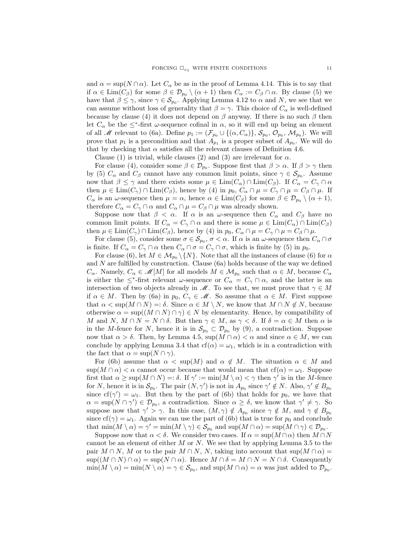and  $\alpha = \sup(N \cap \alpha)$ . Let  $C_{\alpha}$  be as in the proof of Lemma 4.14. This is to say that if  $\alpha \in \text{Lim}(C_\beta)$  for some  $\beta \in \mathcal{D}_{p_0} \setminus (\alpha + 1)$  then  $C_\alpha := C_\beta \cap \alpha$ . By clause (5) we have that  $\beta \leq \gamma$ , since  $\gamma \in \mathcal{S}_{p_0}$ . Applying Lemma 4.12 to  $\alpha$  and N, we see that we can assume without loss of generality that  $\beta = \gamma$ . This choice of  $C_{\alpha}$  is well-defined because by clause (4) it does not depend on  $\beta$  anyway. If there is no such  $\beta$  then let  $C_{\alpha}$  be the  $\leq^*$ -first  $\omega$ -sequence cofinal in  $\alpha$ , so it will end up being an element of all *M* relevant to (6a). Define  $p_1 := (\mathcal{F}_{p_0} \cup \{(\alpha, C_\alpha)\}, \mathcal{S}_{p_0}, \mathcal{O}_{p_0}, \mathcal{M}_{p_0})$ . We will prove that  $p_1$  is a precondition and that  $A_{p_1}$  is a proper subset of  $A_{p_0}$ . We will do that by checking that  $\alpha$  satisfies all the relevant clauses of Definition 4.6.

Clause (1) is trivial, while clauses (2) and (3) are irrelevant for  $\alpha$ .

For clause (4), consider some  $\beta \in \mathcal{D}_{p_0}$ . Suppose first that  $\beta > \alpha$ . If  $\beta > \gamma$  then by (5)  $C_{\alpha}$  and  $C_{\beta}$  cannot have any common limit points, since  $\gamma \in \mathcal{S}_{p_0}$ . Assume now that  $\beta \leq \gamma$  and there exists some  $\mu \in \text{Lim}(C_{\alpha}) \cap \text{Lim}(C_{\beta})$ . If  $C_{\alpha} = C_{\gamma} \cap \alpha$ then  $\mu \in \text{Lim}(C_\gamma) \cap \text{Lim}(C_\beta)$ , hence by (4) in  $p_0$ ,  $C_\alpha \cap \mu = C_\gamma \cap \mu = C_\beta \cap \mu$ . If  $C_{\alpha}$  is an  $\omega$ -sequence then  $\mu = \alpha$ , hence  $\alpha \in \text{Lim}(C_{\beta})$  for some  $\beta \in \mathcal{D}_{p_0} \setminus (\alpha + 1)$ , therefore  $C_{\alpha} = C_{\gamma} \cap \alpha$  and  $C_{\alpha} \cap \mu = C_{\beta} \cap \mu$  was already shown.

Suppose now that  $\beta < \alpha$ . If  $\alpha$  is an  $\omega$ -sequence then  $C_{\alpha}$  and  $C_{\beta}$  have no common limit points. If  $C_{\alpha} = C_{\gamma} \cap \alpha$  and there is some  $\mu \in \text{Lim}(C_{\alpha}) \cap \text{Lim}(C_{\beta})$ then  $\mu \in \text{Lim}(C_\gamma) \cap \text{Lim}(C_\beta)$ , hence by (4) in  $p_0, C_\alpha \cap \mu = C_\gamma \cap \mu = C_\beta \cap \mu$ .

For clause (5), consider some  $\sigma \in S_{p_0}$ ,  $\sigma < \alpha$ . If  $\alpha$  is an  $\omega$ -sequence then  $C_{\alpha} \cap \sigma$ is finite. If  $C_{\alpha} = C_{\gamma} \cap \alpha$  then  $C_{\alpha} \cap \sigma = C_{\gamma} \cap \sigma$ , which is finite by (5) in  $p_0$ .

For clause (6), let  $M \in \mathcal{M}_{p_0} \setminus \{N\}$ . Note that all the instances of clause (6) for  $\alpha$ and  $N$  are fulfilled by construction. Clause (6a) holds because of the way we defined  $C_{\alpha}$ . Namely,  $C_{\alpha} \in \mathcal{M}[M]$  for all models  $M \in \mathcal{M}_{p_0}$  such that  $\alpha \in M$ , because  $C_{\alpha}$ is either the  $\leq^*$ -first relevant  $\omega$ -sequence or  $C_{\alpha} = C_{\gamma} \cap \alpha$ , and the latter is an intersection of two objects already in  $\mathcal M$ . To see that, we must prove that  $\gamma \in M$ if  $\alpha \in M$ . Then by (6a) in  $p_0, C_\gamma \in \mathcal{M}$ . So assume that  $\alpha \in M$ . First suppose that  $\alpha < \sup(M \cap N) =: \delta$ . Since  $\alpha \in M \setminus N$ , we know that  $M \cap N \notin N$ , because otherwise  $\alpha = \sup((M \cap N) \cap \gamma) \in N$  by elementarity. Hence, by compatibility of M and N,  $M \cap N = N \cap \delta$ . But then  $\gamma \in M$ , as  $\gamma < \delta$ . If  $\delta = \alpha \in M$  then  $\alpha$  is in the M-fence for N, hence it is in  $\mathcal{S}_{p_0} \subset \mathcal{D}_{p_0}$  by (9), a contradiction. Suppose now that  $\alpha > \delta$ . Then, by Lemma 4.5,  $\sup(M \cap \alpha) < \alpha$  and since  $\alpha \in M$ , we can conclude by applying Lemma 3.4 that  $cf(\alpha) = \omega_1$ , which is in a contradiction with the fact that  $\alpha = \sup(N \cap \gamma)$ .

For (6b) assume that  $\alpha < \sup(M)$  and  $\alpha \notin M$ . The situation  $\alpha \in M$  and  $\sup(M \cap \alpha) < \alpha$  cannot occur because that would mean that  $cf(\alpha) = \omega_1$ . Suppose first that  $\alpha \geq \sup(M \cap N) =: \delta$ . If  $\gamma' := \min(M \setminus \alpha) < \gamma$  then  $\gamma'$  is in the M-fence for N, hence it is in  $\mathcal{S}_{p_0}$ . The pair  $(N, \gamma')$  is not in  $A_{p_0}$  since  $\gamma' \notin N$ . Also,  $\gamma' \notin B_{p_0}$ since  $cf(\gamma') = \omega_1$ . But then by the part of (6b) that holds for  $p_0$ , we have that  $\alpha = \sup(N \cap \gamma') \in \mathcal{D}_{p_0}$ , a contradiction. Since  $\alpha \geq \delta$ , we know that  $\gamma' \neq \gamma$ . So suppose now that  $\gamma' > \gamma$ . In this case,  $(M, \gamma) \notin A_{p_0}$  since  $\gamma \notin M$ , and  $\gamma \notin B_{p_0}$ since cf( $\gamma$ ) =  $\omega_1$ . Again we can use the part of (6b) that is true for  $p_0$  and conclude that  $\min(M \setminus \alpha) = \gamma' = \min(M \setminus \gamma) \in \mathcal{S}_{p_0}$  and  $\sup(M \cap \alpha) = \sup(M \cap \gamma) \in \mathcal{D}_{p_0}$ .

Suppose now that  $\alpha < \delta$ . We consider two cases. If  $\alpha = \sup(M \cap \alpha)$  then  $M \cap N$ cannot be an element of either  $M$  or  $N$ . We see that by applying Lemma 3.5 to the pair  $M \cap N$ , M or to the pair  $M \cap N$ , N, taking into account that sup $(M \cap \alpha)$  =  $\sup((M \cap N) \cap \alpha) = \sup(N \cap \alpha)$ . Hence  $M \cap \delta = M \cap N = N \cap \delta$ . Consequently  $\min(M \setminus \alpha) = \min(N \setminus \alpha) = \gamma \in \mathcal{S}_{p_0}$ , and  $\sup(M \cap \alpha) = \alpha$  was just added to  $\mathcal{D}_{p_0}$ .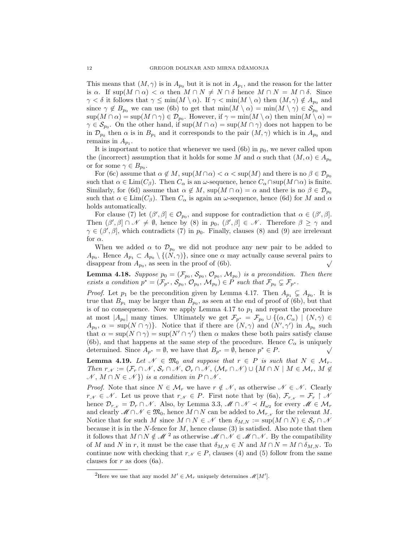This means that  $(M, \gamma)$  is in  $A_{p_0}$  but it is not in  $A_{p_1}$ , and the reason for the latter is  $\alpha$ . If sup $(M \cap \alpha) < \alpha$  then  $M \cap N \neq N \cap \delta$  hence  $M \cap N = M \cap \delta$ . Since  $\gamma < \delta$  it follows that  $\gamma \le \min(M \setminus \alpha)$ . If  $\gamma < \min(M \setminus \alpha)$  then  $(M, \gamma) \notin A_{p_0}$  and since  $\gamma \notin B_{p_0}$  we can use (6b) to get that  $\min(M \setminus \alpha) = \min(M \setminus \gamma) \in \mathcal{S}_{p_0}$  and  $\sup(M \cap \alpha) = \sup(M \cap \gamma) \in \mathcal{D}_{p_0}$ . However, if  $\gamma = \min(M \setminus \alpha)$  then  $\min(M \setminus \alpha) =$  $\gamma \in \mathcal{S}_{p_0}$ . On the other hand, if  $\sup(M \cap \alpha) = \sup(M \cap \gamma)$  does not happen to be in  $\mathcal{D}_{p_0}$  then  $\alpha$  is in  $B_{p_1}$  and it corresponds to the pair  $(M, \gamma)$  which is in  $A_{p_0}$  and remains in  $A_{p_1}$ .

It is important to notice that whenever we used (6b) in  $p_0$ , we never called upon the (incorrect) assumption that it holds for some M and  $\alpha$  such that  $(M, \alpha) \in A_{p_0}$ or for some  $\gamma \in B_{p_0}$ .

For (6c) assume that  $\alpha \notin M$ ,  $\sup(M \cap \alpha) < \alpha < \sup(M)$  and there is no  $\beta \in \mathcal{D}_{p_0}$ such that  $\alpha \in \text{Lim}(C_\beta)$ . Then  $C_\alpha$  is an  $\omega$ -sequence, hence  $C_\alpha \cap \text{sup}(M \cap \alpha)$  is finite. Similarly, for (6d) assume that  $\alpha \notin M$ , sup $(M \cap \alpha) = \alpha$  and there is no  $\beta \in \mathcal{D}_{p_0}$ such that  $\alpha \in \text{Lim}(C_\beta)$ . Then  $C_\alpha$  is again an  $\omega$ -sequence, hence (6d) for M and  $\alpha$ holds automatically.

For clause (7) let  $(\beta', \beta] \in \mathcal{O}_{p_0}$ , and suppose for contradiction that  $\alpha \in (\beta', \beta]$ . Then  $(\beta', \beta] \cap \mathscr{N} \neq \emptyset$ , hence by (8) in  $p_0$ ,  $(\beta', \beta] \in \mathscr{N}$ . Therefore  $\beta \geq \gamma$  and  $\gamma \in (\beta', \beta]$ , which contradicts (7) in  $p_0$ . Finally, clauses (8) and (9) are irrelevant for  $\alpha$ .

When we added  $\alpha$  to  $\mathcal{D}_{p_0}$  we did not produce any new pair to be added to  $A_{p_0}$ . Hence  $A_{p_1} \subset A_{p_0} \setminus \{(N, \gamma)\}\)$ , since one  $\alpha$  may actually cause several pairs to disappear from  $A_{p_0}$ , as seen in the proof of (6b). disappear from  $A_{p_0}$ , as seen in the proof of (6b).

**Lemma 4.18.** Suppose  $p_0 = (\mathcal{F}_{p_0}, \mathcal{S}_{p_0}, \mathcal{O}_{p_0}, \mathcal{M}_{p_0})$  is a precondition. Then there exists a condition  $p^* = (\mathcal{F}_{p^*}, \mathcal{S}_{p_0}, \mathcal{O}_{p_0}, \mathcal{M}_{p_0}) \in P$  such that  $\mathcal{F}_{p_0} \subsetneq \mathcal{F}_{p^*}.$ 

*Proof.* Let  $p_1$  be the precondition given by Lemma 4.17. Then  $A_{p_1} \subsetneq A_{p_0}$ . It is true that  $B_{p_1}$  may be larger than  $B_{p_0}$ , as seen at the end of proof of (6b), but that is of no consequence. Now we apply Lemma 4.17 to  $p_1$  and repeat the procedure at most  $|A_{p_0}|$  many times. Ultimately we get  $\mathcal{F}_{p^*} = \mathcal{F}_{p_0} \cup \{(\alpha, C_\alpha) \mid (N, \gamma) \in$  $A_{p_0}, \alpha = \sup(N \cap \gamma)$ . Notice that if there are  $(N, \gamma)$  and  $(N', \gamma')$  in  $A_{p_0}$  such that  $\alpha = \sup(N \cap \gamma) = \sup(N' \cap \gamma')$  then  $\alpha$  makes these both pairs satisfy clause (6b), and that happens at the same step of the procedure. Hence  $C_{\alpha}$  is uniquely determined. Since  $A_{p^*} = \emptyset$ , we have that  $B_{p^*} = \emptyset$ , hence  $p^* \in P$ .

**Lemma 4.19.** Let  $\mathcal{N} \in \mathfrak{M}_0$  and suppose that  $r \in P$  is such that  $N \in \mathcal{M}_r$ . Then  $r_{\mathcal{N}} := (\mathcal{F}_r \cap \mathcal{N}, \mathcal{S}_r \cap \mathcal{N}, \mathcal{O}_r \cap \mathcal{N}, (\mathcal{M}_r \cap \mathcal{N}) \cup \{M \cap N \mid M \in \mathcal{M}_r, M \notin \mathcal{O}_r\})$  $\mathcal{N}, M \cap N \in \mathcal{N}$ ) is a condition in  $P \cap \mathcal{N}$ .

*Proof.* Note that since  $N \in \mathcal{M}_r$  we have  $r \notin \mathcal{N}$ , as otherwise  $\mathcal{N} \in \mathcal{N}$ . Clearly  $r_{\mathcal{N}} \in \mathcal{N}$ . Let us prove that  $r_{\mathcal{N}} \in P$ . First note that by (6a),  $\mathcal{F}_{r_{\mathcal{N}}} = \mathcal{F}_{r} \restriction \mathcal{N}$ hence  $\mathcal{D}_{r_{\mathcal{N}}} = \mathcal{D}_r \cap \mathcal{N}$ . Also, by Lemma 3.3,  $\mathcal{M} \cap \mathcal{N} \prec H_{\omega_2}$  for every  $\mathcal{M} \in \mathcal{M}_r$ and clearly  $\mathscr{M} \cap \mathscr{N} \in \mathfrak{M}_0$ , hence  $M \cap N$  can be added to  $\mathcal{M}_{r,\mathscr{N}}$  for the relevant M. Notice that for such M since  $M \cap N \in \mathcal{N}$  then  $\delta_{M,N} := \sup(M \cap N) \in \mathcal{S}_r \cap \mathcal{N}$ because it is in the  $N$ -fence for  $M$ , hence clause  $(3)$  is satisfied. Also note that then it follows that  $M \cap N \notin \mathcal{M}^2$  as otherwise  $\mathcal{M} \cap \mathcal{N} \in \mathcal{M} \cap \mathcal{N}$ . By the compatibility of M and N in r, it must be the case that  $\delta_{M,N} \in N$  and  $M \cap N = M \cap \delta_{M,N}$ . To continue now with checking that  $r_{\mathcal{N}} \in P$ , clauses (4) and (5) follow from the same clauses for  $r$  as does (6a).

<sup>&</sup>lt;sup>2</sup>Here we use that any model  $M' \in \mathcal{M}_r$  uniquely determines  $\mathcal{M}[M']$ .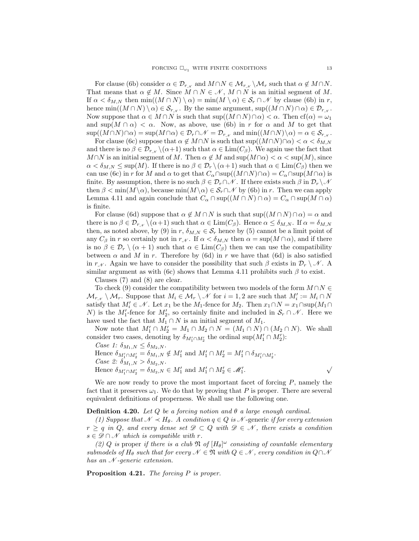For clause (6b) consider  $\alpha \in \mathcal{D}_{r,k}$  and  $M \cap N \in \mathcal{M}_{r,k} \setminus \mathcal{M}_r$  such that  $\alpha \notin M \cap N$ . That means that  $\alpha \notin M$ . Since  $M \cap N \in \mathcal{N}$ ,  $M \cap N$  is an initial segment of M. If  $\alpha < \delta_{M,N}$  then  $\min((M \cap N) \setminus \alpha) = \min(M \setminus \alpha) \in \mathcal{S}_r \cap \mathcal{N}$  by clause (6b) in r, hence min $((M \cap N) \setminus \alpha) \in \mathcal{S}_{r,\chi}$ . By the same argument, sup $((M \cap N) \cap \alpha) \in \mathcal{D}_{r,\chi}$ . Now suppose that  $\alpha \in M \cap N$  is such that  $\sup((M \cap N) \cap \alpha) < \alpha$ . Then  $cf(\alpha) = \omega_1$ and  $\sup(M \cap \alpha) < \alpha$ . Now, as above, use (6b) in r for  $\alpha$  and M to get that  $\sup((M \cap N) \cap \alpha) = \sup(M \cap \alpha) \in \mathcal{D}_r \cap \mathcal{N} = \mathcal{D}_{r,\mathcal{N}}$  and  $\min((M \cap N) \setminus \alpha) = \alpha \in \mathcal{S}_{r,\mathcal{N}}$ .

For clause (6c) suppose that  $\alpha \notin M \cap N$  is such that  $\sup((M \cap N) \cap \alpha) < \alpha < \delta_{M,N}$ and there is no  $\beta \in \mathcal{D}_{r,\gamma} \setminus (\alpha+1)$  such that  $\alpha \in \text{Lim}(C_{\beta})$ . We again use the fact that  $M \cap N$  is an initial segment of M. Then  $\alpha \notin M$  and  $\sup(M \cap \alpha) < \alpha < \sup(M)$ , since  $\alpha < \delta_{M,N} \leq \sup(M)$ . If there is no  $\beta \in \mathcal{D}_r \setminus (\alpha+1)$  such that  $\alpha \in \text{Lim}(C_\beta)$  then we can use (6c) in r for M and  $\alpha$  to get that  $C_{\alpha} \cap \text{sup}((M \cap N) \cap \alpha) = C_{\alpha} \cap \text{sup}(M \cap \alpha)$  is finite. By assumption, there is no such  $\beta \in \mathcal{D}_r \cap \mathcal{N}$ . If there exists such  $\beta$  in  $\mathcal{D}_r \setminus \mathcal{N}$ then  $\beta < \min(M\setminus\alpha)$ , because  $\min(M\setminus\alpha) \in \mathcal{S}_r \cap \mathcal{N}$  by (6b) in r. Then we can apply Lemma 4.11 and again conclude that  $C_\alpha \cap \text{sup}((M \cap N) \cap \alpha) = C_\alpha \cap \text{sup}(M \cap \alpha)$ is finite.

For clause (6d) suppose that  $\alpha \notin M \cap N$  is such that  $\sup((M \cap N) \cap \alpha) = \alpha$  and there is no  $\beta \in \mathcal{D}_{r,k} \setminus (\alpha+1)$  such that  $\alpha \in \text{Lim}(C_\beta)$ . Hence  $\alpha \leq \delta_{M,N}$ . If  $\alpha = \delta_{M,N}$ then, as noted above, by (9) in  $r, \delta_{M,N} \in \mathcal{S}_r$  hence by (5) cannot be a limit point of any  $C_\beta$  in r so certainly not in  $r_{\mathcal{N}}$ . If  $\alpha < \delta_{M,N}$  then  $\alpha = \sup(M \cap \alpha)$ , and if there is no  $\beta \in \mathcal{D}_r \setminus (\alpha + 1)$  such that  $\alpha \in \text{Lim}(C_\beta)$  then we can use the compatibility between  $\alpha$  and M in r. Therefore by (6d) in r we have that (6d) is also satisfied in  $r_{\mathcal{N}}$ . Again we have to consider the possibility that such  $\beta$  exists in  $\mathcal{D}_r \setminus \mathcal{N}$ . A similar argument as with (6c) shows that Lemma 4.11 prohibits such  $\beta$  to exist.

Clauses (7) and (8) are clear.

To check (9) consider the compatibility between two models of the form  $M \cap N \in$  $\mathcal{M}_{r_{\mathcal{N}}} \setminus \mathcal{M}_r$ . Suppose that  $M_i \in \mathcal{M}_r \setminus \mathcal{N}$  for  $i = 1, 2$  are such that  $M'_i := M_i \cap N$ satisfy that  $M'_i \in \mathcal{N}$ . Let  $x_1$  be the  $M_1$ -fence for  $M_2$ . Then  $x_1 \cap N = x_1 \cap \text{sup}(M_1 \cap$ N) is the  $M_1'$ -fence for  $M_2'$ , so certainly finite and included in  $\mathcal{S}_r \cap \mathcal{N}$ . Here we have used the fact that  $M_1 \cap N$  is an initial segment of  $M_1$ .

Now note that  $M'_1 \cap M'_2 = M_1 \cap M_2 \cap N = (M_1 \cap N) \cap (M_2 \cap N)$ . We shall consider two cases, denoting by  $\delta_{M_1' \cap M_2'}$  the ordinal sup $(M_1' \cap M_2')$ :

Case 1: 
$$
\delta_{M_1,N} \leq \delta_{M_2,N}
$$
. Hence  $\delta_{M'_1 \cap M'_2} = \delta_{M_1,N} \notin M'_1$  and  $M'_1 \cap M'_2 = M'_1 \cap \delta_{M'_1 \cap M'_2}$ . *Case 2:*  $\delta_{M_1,N} > \delta_{M_2,N}$ . Hence  $\delta_{M'_1 \cap M'_2} = \delta_{M_2,N} \in M'_1$  and  $M'_1 \cap M'_2 \in \mathcal{M}'_1$ .

We are now ready to prove the most important facet of forcing  $P$ , namely the fact that it preserves  $\omega_1$ . We do that by proving that P is proper. There are several equivalent definitions of properness. We shall use the following one.

**Definition 4.20.** Let Q be a forcing notion and  $\theta$  a large enough cardinal.

(1) Suppose that  $\mathcal{N} \prec H_{\theta}$ . A condition  $q \in Q$  is  $\mathcal{N}$ -generic if for every extension  $r \geq q$  in Q, and every dense set  $\mathscr{D} \subset Q$  with  $\mathscr{D} \in \mathscr{N}$ , there exists a condition  $s \in \mathscr{D} \cap \mathscr{N}$  which is compatible with r.

(2) Q is proper if there is a club  $\mathfrak{N}$  of  $[H_{\theta}]^{\omega}$  consisting of countable elementary submodels of  $H_{\theta}$  such that for every  $\mathcal{N} \in \mathfrak{N}$  with  $Q \in \mathcal{N}$ , every condition in  $Q \cap \mathcal{N}$ has an  $\mathcal N$ -generic extension.

Proposition 4.21. The forcing P is proper.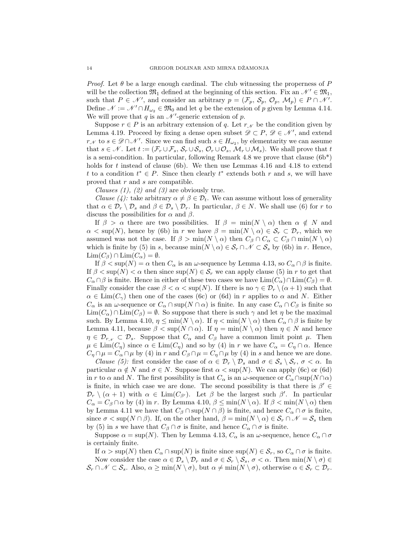*Proof.* Let  $\theta$  be a large enough cardinal. The club witnessing the properness of P will be the collection  $\mathfrak{M}_1$  defined at the beginning of this section. Fix an  $\mathcal{N}' \in \mathfrak{M}_1$ , such that  $P \in \mathcal{N}'$ , and consider an arbitrary  $p = (\mathcal{F}_p, \mathcal{S}_p, \mathcal{O}_p, \mathcal{M}_p) \in P \cap \mathcal{N}'$ . Define  $\mathcal{N} := \mathcal{N}' \cap H_{\omega_2} \in \mathfrak{M}_0$  and let q be the extension of p given by Lemma 4.14. We will prove that  $q$  is an  $\mathcal{N}'$ -generic extension of  $p$ .

Suppose  $r \in P$  is an arbitrary extension of q. Let  $r_{\mathcal{N}}$  be the condition given by Lemma 4.19. Proceed by fixing a dense open subset  $\mathscr{D} \subset P$ ,  $\mathscr{D} \in \mathscr{N}'$ , and extend  $r_{\mathcal{N}}$  to  $s \in \mathscr{D} \cap \mathscr{N}'$ . Since we can find such  $s \in H_{\omega_2}$ , by elementarity we can assume that  $s \in \mathcal{N}$ . Let  $t := (\mathcal{F}_r \cup \mathcal{F}_s, \mathcal{S}_r \cup \mathcal{S}_s, \mathcal{O}_r \cup \mathcal{O}_s, \mathcal{M}_r \cup \mathcal{M}_s)$ . We shall prove that  $t$ is a semi-condition. In particular, following Remark 4.8 we prove that clause  $(6b^*)$ holds for t instead of clause (6b). We then use Lemmas 4.16 and 4.18 to extend t to a condition  $t^* \in P$ . Since then clearly  $t^*$  extends both r and s, we will have proved that r and s are compatible.

Clauses  $(1)$ ,  $(2)$  and  $(3)$  are obviously true.

*Clause* (4): take arbitrary  $\alpha \neq \beta \in \mathcal{D}_t$ . We can assume without loss of generality that  $\alpha \in \mathcal{D}_r \setminus \mathcal{D}_s$  and  $\beta \in \mathcal{D}_s \setminus \mathcal{D}_r$ . In particular,  $\beta \in N$ . We shall use (6) for r to discuss the possibilities for  $\alpha$  and  $\beta$ .

If  $\beta > \alpha$  there are two possibilities. If  $\beta = \min(N \setminus \alpha)$  then  $\alpha \notin N$  and  $\alpha < \sup(N)$ , hence by (6b) in r we have  $\beta = \min(N \setminus \alpha) \in S_r \subset \mathcal{D}_r$ , which we assumed was not the case. If  $\beta > \min(N \setminus \alpha)$  then  $C_{\beta} \cap C_{\alpha} \subset C_{\beta} \cap \min(N \setminus \alpha)$ which is finite by (5) in s, because  $\min(N \setminus \alpha) \in S_r \cap \mathcal{N} \subset S_s$  by (6b) in r. Hence,  $\text{Lim}(C_{\beta}) \cap \text{Lim}(C_{\alpha}) = \emptyset.$ 

If  $\beta < \sup(N) = \alpha$  then  $C_{\alpha}$  is an  $\omega$ -sequence by Lemma 4.13, so  $C_{\alpha} \cap \beta$  is finite. If  $\beta < \sup(N) < \alpha$  then since  $\sup(N) \in S_r$  we can apply clause (5) in r to get that  $C_{\alpha} \cap \beta$  is finite. Hence in either of these two cases we have  $\text{Lim}(C_{\alpha}) \cap \text{Lim}(C_{\beta}) = \emptyset$ . Finally consider the case  $\beta < \alpha < \sup(N)$ . If there is no  $\gamma \in \mathcal{D}_r \setminus (\alpha + 1)$  such that  $\alpha \in \text{Lim}(C_\gamma)$  then one of the cases (6c) or (6d) in r applies to  $\alpha$  and N. Either  $C_{\alpha}$  is an  $\omega$ -sequence or  $C_{\alpha} \cap \text{sup}(N \cap \alpha)$  is finite. In any case  $C_{\alpha} \cap C_{\beta}$  is finite so  $\text{Lim}(C_\alpha) \cap \text{Lim}(C_\beta) = \emptyset$ . So suppose that there is such  $\gamma$  and let  $\eta$  be the maximal such. By Lemma 4.10,  $\eta \le \min(N \setminus \alpha)$ . If  $\eta < \min(N \setminus \alpha)$  then  $C_{\alpha} \cap \beta$  is finite by Lemma 4.11, because  $\beta < \sup(N \cap \alpha)$ . If  $\eta = \min(N \setminus \alpha)$  then  $\eta \in N$  and hence  $\eta \in \mathcal{D}_{r,\mathcal{N}} \subset \mathcal{D}_s$ . Suppose that  $C_\alpha$  and  $C_\beta$  have a common limit point  $\mu$ . Then  $\mu \in \text{Lim}(C_\eta)$  since  $\alpha \in \text{Lim}(C_\eta)$  and so by (4) in r we have  $C_\alpha = C_\eta \cap \alpha$ . Hence  $C_{\eta} \cap \mu = C_{\alpha} \cap \mu$  by (4) in r and  $C_{\beta} \cap \mu = C_{\eta} \cap \mu$  by (4) in s and hence we are done.

*Clause* (5): first consider the case of  $\alpha \in \mathcal{D}_r \setminus \mathcal{D}_s$  and  $\sigma \in \mathcal{S}_s \setminus \mathcal{S}_r$ ,  $\sigma < \alpha$ . In particular  $\alpha \notin N$  and  $\sigma \in N$ . Suppose first  $\alpha < \sup(N)$ . We can apply (6c) or (6d) in r to  $\alpha$  and N. The first possibility is that  $C_{\alpha}$  is an  $\omega$ -sequence or  $C_{\alpha} \cap \text{sup}(N \cap \alpha)$ is finite, in which case we are done. The second possibility is that there is  $\beta' \in$  $\mathcal{D}_r \setminus (\alpha + 1)$  with  $\alpha \in \text{Lim}(C_{\beta'})$ . Let  $\beta$  be the largest such  $\beta'$ . In particular  $C_{\alpha} = C_{\beta} \cap \alpha$  by (4) in r. By Lemma 4.10,  $\beta \leq \min(N \setminus \alpha)$ . If  $\beta < \min(N \setminus \alpha)$  then by Lemma 4.11 we have that  $C_\beta \cap \text{sup}(N \cap \beta)$  is finite, and hence  $C_\alpha \cap \sigma$  is finite, since  $\sigma < \sup(N \cap \beta)$ . If, on the other hand,  $\beta = \min(N \setminus \alpha) \in \mathcal{S}_r \cap \mathcal{N} = \mathcal{S}_s$  then by (5) in s we have that  $C_\beta \cap \sigma$  is finite, and hence  $C_\alpha \cap \sigma$  is finite.

Suppose  $\alpha = \sup(N)$ . Then by Lemma 4.13,  $C_{\alpha}$  is an  $\omega$ -sequence, hence  $C_{\alpha} \cap \sigma$ is certainly finite.

If  $\alpha > \sup(N)$  then  $C_{\alpha} \cap \sup(N)$  is finite since  $\sup(N) \in \mathcal{S}_r$ , so  $C_{\alpha} \cap \sigma$  is finite. Now consider the case  $\alpha \in \mathcal{D}_s \setminus \mathcal{D}_r$  and  $\sigma \in \mathcal{S}_r \setminus \mathcal{S}_s$ ,  $\sigma < \alpha$ . Then  $\min(N \setminus \sigma) \in$  $\mathcal{S}_r \cap \mathcal{N} \subset \mathcal{S}_s$ . Also,  $\alpha \ge \min(N \setminus \sigma)$ , but  $\alpha \ne \min(N \setminus \sigma)$ , otherwise  $\alpha \in \mathcal{S}_r \subset \mathcal{D}_r$ .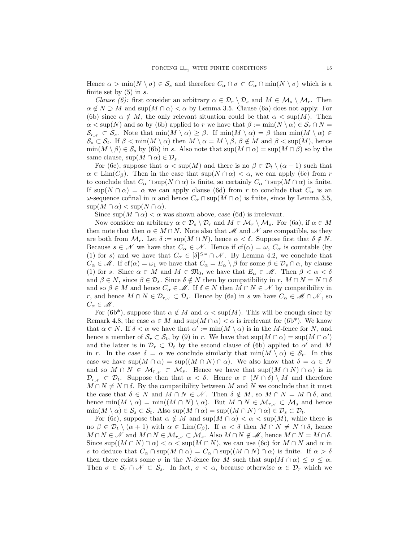Hence  $\alpha > \min(N \setminus \sigma) \in \mathcal{S}_s$  and therefore  $C_\alpha \cap \sigma \subset C_\alpha \cap \min(N \setminus \sigma)$  which is a finite set by  $(5)$  in s.

*Clause (6):* first consider an arbitrary  $\alpha \in \mathcal{D}_r \setminus \mathcal{D}_s$  and  $M \in \mathcal{M}_s \setminus \mathcal{M}_r$ . Then  $\alpha \notin N \supset M$  and sup $(M \cap \alpha) < \alpha$  by Lemma 3.5. Clause (6a) does not apply. For (6b) since  $\alpha \notin M$ , the only relevant situation could be that  $\alpha < \sup(M)$ . Then  $\alpha < \sup(N)$  and so by (6b) applied to r we have that  $\beta := \min(N \setminus \alpha) \in \mathcal{S}_r \cap N =$  $\mathcal{S}_{r_{\mathcal{N}}} \subset \mathcal{S}_s$ . Note that  $\min(M \setminus \alpha) \geq \beta$ . If  $\min(M \setminus \alpha) = \beta$  then  $\min(M \setminus \alpha) \in$  $\mathcal{S}_s \subset \mathcal{S}_t$ . If  $\beta < \min(M \setminus \alpha)$  then  $M \setminus \alpha = M \setminus \beta$ ,  $\beta \notin M$  and  $\beta < \sup(M)$ , hence  $\min(M \setminus \beta) \in \mathcal{S}_s$  by (6b) in s. Also note that  $\sup(M \cap \alpha) = \sup(M \cap \beta)$  so by the same clause,  $\sup(M \cap \alpha) \in \mathcal{D}_s$ .

For (6c), suppose that  $\alpha < \sup(M)$  and there is no  $\beta \in \mathcal{D}_t \setminus (\alpha + 1)$  such that  $\alpha \in \text{Lim}(C_\beta)$ . Then in the case that  $\sup(N \cap \alpha) < \alpha$ , we can apply (6c) from r to conclude that  $C_\alpha \cap \text{sup}(N \cap \alpha)$  is finite, so certainly  $C_\alpha \cap \text{sup}(M \cap \alpha)$  is finite. If  $\sup(N \cap \alpha) = \alpha$  we can apply clause (6d) from r to conclude that  $C_{\alpha}$  is an ω-sequence cofinal in α and hence  $C_α ∩ \sup(M ∩ α)$  is finite, since by Lemma 3.5,  $\sup(M \cap \alpha) < \sup(N \cap \alpha)$ .

Since  $\sup(M \cap \alpha) < \alpha$  was shown above, case (6d) is irrelevant.

Now consider an arbitrary  $\alpha \in \mathcal{D}_s \setminus \mathcal{D}_r$  and  $M \in \mathcal{M}_r \setminus \mathcal{M}_s$ . For (6a), if  $\alpha \in M$ then note that then  $\alpha \in M \cap N$ . Note also that M and N are compatible, as they are both from  $\mathcal{M}_r$ . Let  $\delta := \sup(M \cap N)$ , hence  $\alpha < \delta$ . Suppose first that  $\delta \notin N$ . Because  $s \in \mathcal{N}$  we have that  $C_{\alpha} \in \mathcal{N}$ . Hence if  $cf(\alpha) = \omega$ ,  $C_{\alpha}$  is countable (by (1) for s) and we have that  $C_{\alpha} \in [\delta]^{\leq \omega} \cap \mathcal{N}$ . By Lemma 4.2, we conclude that  $C_{\alpha} \in \mathcal{M}$ . If cf( $\alpha$ ) =  $\omega_1$  we have that  $C_{\alpha} = E_{\alpha} \setminus \beta$  for some  $\beta \in \mathcal{D}_s \cap \alpha$ , by clause (1) for s. Since  $\alpha \in M$  and  $M \in \mathfrak{M}_0$ , we have that  $E_\alpha \in \mathcal{M}$ . Then  $\beta < \alpha < \delta$ and  $\beta \in N$ , since  $\beta \in \mathcal{D}_s$ . Since  $\delta \notin N$  then by compatibility in  $r, M \cap N = N \cap \delta$ and so  $\beta \in M$  and hence  $C_{\alpha} \in \mathcal{M}$ . If  $\delta \in N$  then  $M \cap N \in \mathcal{N}$  by compatibility in r, and hence  $M \cap N \in \mathcal{D}_{r,\mathcal{N}} \subset \mathcal{D}_s$ . Hence by (6a) in s we have  $C_\alpha \in \mathcal{M} \cap \mathcal{N}$ , so  $C_{\alpha} \in \mathcal{M}$ .

For (6b<sup>\*</sup>), suppose that  $\alpha \notin M$  and  $\alpha < \sup(M)$ . This will be enough since by Remark 4.8, the case  $\alpha \in M$  and  $\sup(M \cap \alpha) < \alpha$  is irrelevant for (6b<sup>\*</sup>). We know that  $\alpha \in N$ . If  $\delta < \alpha$  we have that  $\alpha' := \min(M \setminus \alpha)$  is in the M-fence for N, and hence a member of  $S_r \subset S_t$ , by (9) in r. We have that  $\sup(M \cap \alpha) = \sup(M \cap \alpha')$ and the latter is in  $\mathcal{D}_r \subset \mathcal{D}_t$  by the second clause of (6b) applied to  $\alpha'$  and M in r. In the case  $\delta = \alpha$  we conclude similarly that  $\min(M \setminus \alpha) \in \mathcal{S}_t$ . In this case we have  $\sup(M \cap \alpha) = \sup((M \cap N) \cap \alpha)$ . We also know that  $\delta = \alpha \in N$ and so  $M \cap N \in \mathcal{M}_{r,\mathcal{N}} \subset \mathcal{M}_s$ . Hence we have that  $\sup((M \cap N) \cap \alpha)$  is in  $\mathcal{D}_{r}$   $\subset \mathcal{D}_t$ . Suppose then that  $\alpha < \delta$ . Hence  $\alpha \in (N \cap \delta) \setminus M$  and therefore  $M \cap N \neq N \cap \delta$ . By the compatibility between M and N we conclude that it must the case that  $\delta \in N$  and  $M \cap N \in \mathcal{N}$ . Then  $\delta \notin M$ , so  $M \cap N = M \cap \delta$ , and hence  $\min(M \setminus \alpha) = \min((M \cap N) \setminus \alpha)$ . But  $M \cap N \in \mathcal{M}_{r,\gamma} \subset \mathcal{M}_s$  and hence  $\min(M \setminus \alpha) \in \mathcal{S}_s \subset \mathcal{S}_t$ . Also  $\sup(M \cap \alpha) = \sup((M \cap N) \cap \alpha) \in \mathcal{D}_s \subset \mathcal{D}_t$ .

For (6c), suppose that  $\alpha \notin M$  and  $\sup(M \cap \alpha) < \alpha < \sup(M)$ , while there is no  $\beta \in \mathcal{D}_t \setminus (\alpha + 1)$  with  $\alpha \in \text{Lim}(C_\beta)$ . If  $\alpha < \delta$  then  $M \cap N \neq N \cap \delta$ , hence  $M \cap N \in \mathcal{N}$  and  $M \cap N \in \mathcal{M}_{r,\mathcal{N}} \subset \mathcal{M}_s$ . Also  $M \cap N \notin \mathcal{M}$ , hence  $M \cap N = M \cap \delta$ . Since  $\sup((M \cap N) \cap \alpha) < \alpha < \sup(M \cap N)$ , we can use (6c) for  $M \cap N$  and  $\alpha$  in s to deduce that  $C_\alpha \cap \sup(M \cap \alpha) = C_\alpha \cap \sup((M \cap N) \cap \alpha)$  is finite. If  $\alpha > \delta$ then there exists some  $\sigma$  in the N-fence for M such that  $\sup(M \cap \alpha) \leq \sigma \leq \alpha$ . Then  $\sigma \in \mathcal{S}_r \cap \mathcal{N} \subset \mathcal{S}_s$ . In fact,  $\sigma < \alpha$ , because otherwise  $\alpha \in \mathcal{D}_r$  which we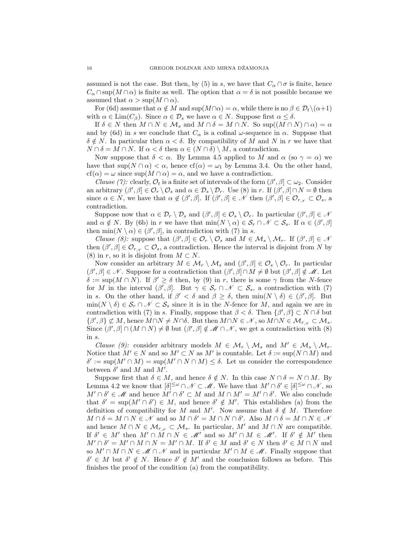assumed is not the case. But then, by (5) in s, we have that  $C_{\alpha} \cap \sigma$  is finite, hence  $C_\alpha \cap \text{sup}(M \cap \alpha)$  is finite as well. The option that  $\alpha = \delta$  is not possible because we assumed that  $\alpha > \sup(M \cap \alpha)$ .

For (6d) assume that  $\alpha \notin M$  and sup $(M \cap \alpha) = \alpha$ , while there is no  $\beta \in \mathcal{D}_t \setminus (\alpha+1)$ with  $\alpha \in \text{Lim}(C_\beta)$ . Since  $\alpha \in \mathcal{D}_s$  we have  $\alpha \in N$ . Suppose first  $\alpha \leq \delta$ .

If  $\delta \in N$  then  $M \cap N \in \mathcal{M}_s$  and  $M \cap \delta = M \cap N$ . So sup $((M \cap N) \cap \alpha) = \alpha$ and by (6d) in s we conclude that  $C_{\alpha}$  is a cofinal  $\omega$ -sequence in  $\alpha$ . Suppose that  $\delta \notin N$ . In particular then  $\alpha < \delta$ . By compatibility of M and N in r we have that  $N \cap \delta = M \cap N$ . If  $\alpha < \delta$  then  $\alpha \in (N \cap \delta) \setminus M$ , a contradiction.

Now suppose that  $\delta < \alpha$ . By Lemma 4.5 applied to M and  $\alpha$  (so  $\gamma = \alpha$ ) we have that  $\sup(N \cap \alpha) < \alpha$ , hence  $cf(\alpha) = \omega_1$  by Lemma 3.4. On the other hand,  $cf(\alpha) = \omega$  since  $\sup(M \cap \alpha) = \alpha$ , and we have a contradiction.

Clause (7): clearly,  $\mathcal{O}_t$  is a finite set of intervals of the form  $(\beta', \beta] \subset \omega_2$ . Consider an arbitrary  $(\beta', \beta] \in \mathcal{O}_r \setminus \mathcal{O}_s$  and  $\alpha \in \mathcal{D}_s \setminus \mathcal{D}_r$ . Use (8) in r. If  $(\beta', \beta] \cap N = \emptyset$  then since  $\alpha \in N$ , we have that  $\alpha \notin (\beta', \beta]$ . If  $(\beta', \beta] \in \mathcal{N}$  then  $(\beta', \beta] \in \mathcal{O}_{r_{\mathcal{N}}} \subset \mathcal{O}_{s}$ , a contradiction.

Suppose now that  $\alpha \in \mathcal{D}_r \setminus \mathcal{D}_s$  and  $(\beta', \beta] \in \mathcal{O}_s \setminus \mathcal{O}_r$ . In particular  $(\beta', \beta] \in \mathcal{A}$ and  $\alpha \notin N$ . By (6b) in r we have that  $\min(N \setminus \alpha) \in \mathcal{S}_r \cap \mathcal{N} \subset \mathcal{S}_s$ . If  $\alpha \in (\beta', \beta]$ then  $\min(N \setminus \alpha) \in (\beta', \beta]$ , in contradiction with (7) in s.

Clause (8): suppose that  $(\beta', \beta] \in \mathcal{O}_r \setminus \mathcal{O}_s$  and  $M \in \mathcal{M}_s \setminus \mathcal{M}_r$ . If  $(\beta', \beta] \in \mathcal{M}_s$ then  $(\beta', \beta] \in \mathcal{O}_{r,\mathcal{N}} \subset \mathcal{O}_s$ , a contradiction. Hence the interval is disjoint from N by (8) in r, so it is disjoint from  $M \subset N$ .

Now consider an arbitrary  $M \in \mathcal{M}_r \setminus \mathcal{M}_s$  and  $(\beta', \beta] \in \mathcal{O}_s \setminus \mathcal{O}_r$ . In particular  $(\beta', \beta] \in \mathcal{N}$ . Suppose for a contradiction that  $(\beta', \beta] \cap M \neq \emptyset$  but  $(\beta', \beta] \notin \mathcal{M}$ . Let  $\delta := \sup(M \cap N)$ . If  $\beta' \geq \delta$  then, by (9) in r, there is some  $\gamma$  from the N-fence for M in the interval  $(\beta', \beta]$ . But  $\gamma \in \mathcal{S}_r \cap \mathcal{N} \subset \mathcal{S}_s$ , a contradiction with (7) in s. On the other hand, if  $\beta' < \delta$  and  $\beta \geq \delta$ , then  $\min(N \setminus \delta) \in (\beta', \beta]$ . But  $\min(N \setminus \delta) \in \mathcal{S}_r \cap \mathcal{N} \subset \mathcal{S}_s$  since it is in the N-fence for M, and again we are in contradiction with (7) in s. Finally, suppose that  $\beta < \delta$ . Then  $\{\beta', \beta\} \subset N \cap \delta$  but  $\{\beta', \beta\} \not\subset M$ , hence  $M \cap N \neq N \cap \delta$ . But then  $M \cap N \in \mathcal{N}$ , so  $M \cap N \in \mathcal{M}_{r,\mathcal{N}} \subset \mathcal{M}_s$ . Since  $(\beta', \beta] \cap (M \cap N) \neq \emptyset$  but  $(\beta', \beta] \notin \mathcal{M} \cap \mathcal{N}$ , we get a contradiction with  $(8)$ in s.

Clause (9): consider arbitrary models  $M \in \mathcal{M}_r \setminus \mathcal{M}_s$  and  $M' \in \mathcal{M}_s \setminus \mathcal{M}_r$ . Notice that  $M' \in N$  and so  $M' \subset N$  as  $M'$  is countable. Let  $\delta := \sup(N \cap M)$  and  $\delta' := \sup(M' \cap M) = \sup(M' \cap N \cap M) \leq \delta$ . Let us consider the correspondence between  $\delta'$  and  $M$  and  $M'$ .

Suppose first that  $\delta \in M$ , and hence  $\delta \notin N$ . In this case  $N \cap \delta = N \cap M$ . By Lemma 4.2 we know that  $[\delta]^{\leq \omega} \cap \mathcal{N} \subset \mathcal{M}$ . We have that  $M' \cap \delta' \in [\delta]^{\leq \omega} \cap \mathcal{N}$ , so  $M' \cap \delta' \in \mathcal{M}$  and hence  $M' \cap \delta' \subset M$  and  $M \cap M' = M' \cap \delta'$ . We also conclude that  $\delta' = \sup(M' \cap \delta') \in M$ , and hence  $\delta' \notin M'$ . This establishes (a) from the definition of compatibility for M and M'. Now assume that  $\delta \notin M$ . Therefore  $M \cap \delta = M \cap N \in \mathcal{N}$  and so  $M \cap \delta' = M \cap N \cap \delta'$ . Also  $M \cap \delta = M \cap N \in \mathcal{M}$ and hence  $M \cap N \in \mathcal{M}_{r_N} \subset \mathcal{M}_s$ . In particular,  $M'$  and  $M \cap N$  are compatible. If  $\delta' \in M'$  then  $M' \cap M \cap N \in \mathcal{M}'$  and so  $M' \cap M \in \mathcal{M}'$ . If  $\delta' \notin M'$  then  $M' \cap \delta' = M' \cap M \cap N = M' \cap M$ . If  $\delta' \in M$  and  $\delta' \in N$  then  $\delta' \in M \cap N$  and so  $M' \cap M \cap N \in \mathcal{M} \cap \mathcal{N}$  and in particular  $M' \cap M \in \mathcal{M}$ . Finally suppose that  $\delta' \in M$  but  $\delta' \notin N$ . Hence  $\delta' \notin M'$  and the conclusion follows as before. This finishes the proof of the condition (a) from the compatibility.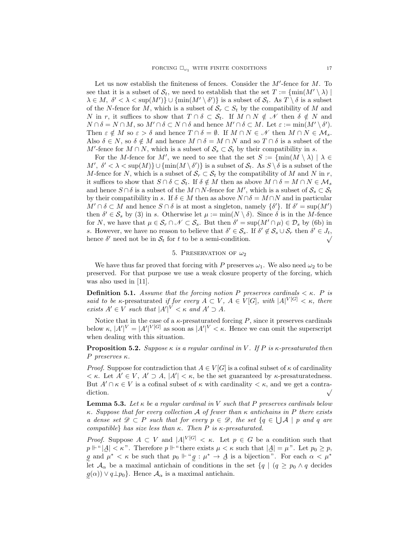Let us now establish the finiteness of fences. Consider the  $M'$ -fence for  $M$ . To see that it is a subset of  $\mathcal{S}_t$ , we need to establish that the set  $T := \{ \min(M' \setminus \lambda) \mid$  $\lambda \in M$ ,  $\delta' < \lambda < \sup(M')$ }  $\cup$  { $\min(M' \setminus \delta')$ } is a subset of  $\mathcal{S}_t$ . As  $T \setminus \delta$  is a subset of the N-fence for M, which is a subset of  $S_r \subset S_t$  by the compatibility of M and N in r, it suffices to show that  $T \cap \delta \subset \mathcal{S}_t$ . If  $M \cap N \notin \mathcal{N}$  then  $\delta \notin N$  and  $N \cap \delta = N \cap M$ , so  $M' \cap \delta \subset N \cap \delta$  and hence  $M' \cap \delta \subset M$ . Let  $\varepsilon := \min(M' \setminus \delta')$ . Then  $\varepsilon \notin M$  so  $\varepsilon > \delta$  and hence  $T \cap \delta = \emptyset$ . If  $M \cap N \in \mathcal{M}$  then  $M \cap N \in \mathcal{M}_s$ . Also  $\delta \in N$ , so  $\delta \notin M$  and hence  $M \cap \delta = M \cap N$  and so  $T \cap \delta$  is a subset of the  $M'$ -fence for  $M \cap N$ , which is a subset of  $\mathcal{S}_s \subset \mathcal{S}_t$  by their compatibility in s.

For the M-fence for M', we need to see that the set  $S := \{ \min(M \setminus \lambda) \mid \lambda \in$  $M', \delta' < \lambda < \sup(M)$   $\cup$  { $\min(M \setminus \delta')$ } is a subset of  $\mathcal{S}_t$ . As  $S \setminus \delta$  is a subset of the M-fence for N, which is a subset of  $S_r \subset S_t$  by the compatibility of M and N in r, it suffices to show that  $S \cap \delta \subset \mathcal{S}_t$ . If  $\delta \notin M$  then as above  $M \cap \delta = M \cap N \in \mathcal{M}_s$ and hence  $S \cap \delta$  is a subset of the  $M \cap N$ -fence for  $M'$ , which is a subset of  $S_s \subset S_t$ by their compatibility in s. If  $\delta \in M$  then as above  $N \cap \delta = M \cap N$  and in particular  $M' \cap \delta \subset M$  and hence  $S \cap \delta$  is at most a singleton, namely  $\{\delta'\}$ . If  $\delta' = \sup(M')$ then  $\delta' \in \mathcal{S}_s$  by (3) in s. Otherwise let  $\mu := \min(N \setminus \delta)$ . Since  $\delta$  is in the M-fence for N, we have that  $\mu \in \mathcal{S}_r \cap \mathcal{N} \subset \mathcal{S}_s$ . But then  $\delta' = \sup(M' \cap \mu) \in \mathcal{D}_s$  by (6b) in s. However, we have no reason to believe that  $\delta' \in S_s$ . If  $\delta' \notin S_s \cup S_r$  then  $\delta' \in J_t$ , s. However, we have no reason to believe that  $\theta \in S_s$ . If  $\theta \notin S_s \cup S_r$  then  $\theta \in J_t$ ,<br>hence  $\delta'$  need not be in  $S_t$  for t to be a semi-condition.

# 5. PRESERVATION OF  $\omega_2$

We have thus far proved that forcing with P preserves  $\omega_1$ . We also need  $\omega_2$  to be preserved. For that purpose we use a weak closure property of the forcing, which was also used in [11].

**Definition 5.1.** Assume that the forcing notion P preserves cardinals  $\lt \kappa$ . P is said to be κ-presaturated if for every  $A \subset V$ ,  $A \in V[G]$ , with  $|A|^{V[G]} < \kappa$ , there exists  $A' \in V$  such that  $|A'|^V < \kappa$  and  $A' \supset A$ .

Notice that in the case of a  $\kappa$ -presaturated forcing  $P$ , since it preserves cardinals below  $\kappa, |A'|^V = |A'|^{V[G]}$  as soon as  $|A'|^V < \kappa$ . Hence we can omit the superscript when dealing with this situation.

**Proposition 5.2.** Suppose  $\kappa$  is a regular cardinal in V. If P is  $\kappa$ -presaturated then P preserves  $κ$ .

*Proof.* Suppose for contradiction that  $A \in V[G]$  is a cofinal subset of  $\kappa$  of cardinality  $\langle \kappa, \text{Let } A' \in V, A' \supset A, |A'| \langle \kappa, \text{ be the set guaranteed by } \kappa\text{-presenturatedness.}$ But  $A' \cap \kappa \in V$  is a cofinal subset of  $\kappa$  with cardinality  $\langle \kappa$ , and we get a contradiction.

**Lemma 5.3.** Let  $\kappa$  be a regular cardinal in V such that P preserves cardinals below κ. Suppose that for every collection A of fewer than κ antichains in P there exists a dense set  $\mathscr{D} \subset P$  such that for every  $p \in \mathscr{D}$ , the set  $\{q \in \bigcup \mathcal{A} \mid p \text{ and } q \text{ are }$ compatible} has size less than  $\kappa$ . Then P is  $\kappa$ -presaturated.

*Proof.* Suppose  $A \subset V$  and  $|A|^{V[G]} < \kappa$ . Let  $p \in G$  be a condition such that  $p \Vdash ``|\underline{A}| < \kappa$ ". Therefore  $p \Vdash ``there exists \mu < \kappa$  such that  $|\underline{A}| = \mu$ ". Let  $p_0 \geq p$ , g and  $\mu^* < \kappa$  be such that  $p_0 \Vdash "g : \mu^* \to \mathcal{A}$  is a bijection". For each  $\alpha < \mu^*$ let  $\mathcal{A}_{\alpha}$  be a maximal antichain of conditions in the set  $\{q \mid (q \geq p_0 \land q \text{ decides})\}$  $g(\alpha)$ )  $\lor$   $q \perp p_0$ . Hence  $\mathcal{A}_{\alpha}$  is a maximal antichain.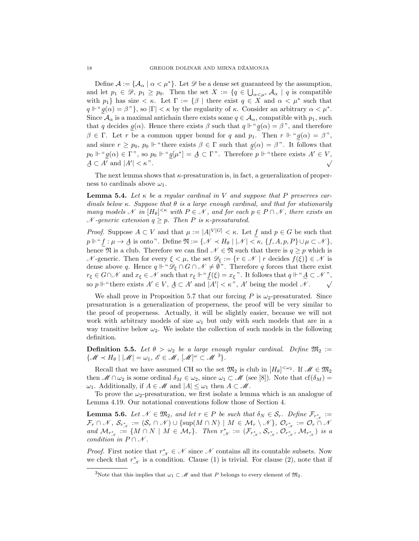Define  $\mathcal{A} := \{ \mathcal{A}_{\alpha} \mid \alpha < \mu^* \}.$  Let  $\mathcal{D}$  be a dense set guaranteed by the assumption, and let  $p_1 \in \mathscr{D}, p_1 \geq p_0$ . Then the set  $X := \{q \in \bigcup_{\alpha < \mu^*} A_\alpha \mid q \text{ is compatible}\}$ with  $p_1$ } has size  $\lt \kappa$ . Let  $\Gamma := \{\beta \mid \text{there exist } q \in X \text{ and } \alpha \lt \mu^* \text{ such that }$  $q \Vdash "g(\alpha) = \beta"$ , so  $|\Gamma| < \kappa$  by the regularity of  $\kappa$ . Consider an arbitrary  $\alpha < \mu^*$ . Since  $\mathcal{A}_{\alpha}$  is a maximal antichain there exists some  $q \in \mathcal{A}_{\alpha}$ , compatible with  $p_1$ , such that q decides  $g(\alpha)$ . Hence there exists  $\beta$  such that  $q \Vdash " g(\alpha) = \beta"$ , and therefore  $\beta \in \Gamma$ . Let r be a common upper bound for q and  $p_1$ . Then  $r \Vdash "g(\alpha) = \beta$ ", and since  $r \geq p_0$ ,  $p_0 \Vdash$  "there exists  $\beta \in \Gamma$  such that  $g(\alpha) = \beta$ ". It follows that  $p_0 \Vdash \text{``} g(\alpha) \in \Gamma$ ", so  $p_0 \Vdash \text{``} g[\mu^*] = \mathcal{A} \subset \Gamma$ ". Therefore  $p \Vdash \text{``there exists } A' \in V$ ,  $\underline{A} \subset A'$  and  $|A'$  $|\langle \kappa^n \rangle|$  =  $\frac{1}{2}$  ( $\frac{1}{2}$  +  $\frac{1}{2}$  +  $\frac{1}{2}$  +  $\frac{1}{2}$  +  $\frac{1}{2}$  +  $\frac{1}{2}$  +  $\frac{1}{2}$  +  $\frac{1}{2}$  +  $\frac{1}{2}$  +  $\frac{1}{2}$  +  $\frac{1}{2}$  +  $\frac{1}{2}$  +  $\frac{1}{2}$  +  $\frac{1}{2}$  +  $\frac{1}{2}$  +  $\frac{1}{2}$  +  $\frac{$ 

The next lemma shows that  $\kappa$ -presaturation is, in fact, a generalization of properness to cardinals above  $\omega_1$ .

**Lemma 5.4.** Let  $\kappa$  be a regular cardinal in V and suppose that P preserves cardinals below κ. Suppose that  $\theta$  is a large enough cardinal, and that for stationarily many models N in  $[H_\theta]^{<\kappa}$  with  $P \in \mathcal{N}$ , and for each  $p \in P \cap \mathcal{N}$ , there exists an  $\mathcal N$ -generic extension  $q \geq p$ . Then P is  $\kappa$ -presaturated.

*Proof.* Suppose  $A \subset V$  and that  $\mu := |A|^{V[G]} < \kappa$ . Let f and  $p \in G$  be such that  $p \Vdash \text{``}\underline{f} : \mu \to \underline{A}$  is onto". Define  $\mathfrak{N} := \{ \mathscr{N} \prec H_\theta \mid |\mathscr{N}| < \kappa, \{f, A, p, P\} \cup \mu \subset \mathscr{N} \},$ hence  $\mathfrak{N}$  is a club. Therefore we can find  $\mathcal{N} \in \mathfrak{N}$  such that there is  $q \geq p$  which is  $\mathcal N$ -generic. Then for every  $\xi < \mu$ , the set  $\mathscr D_{\xi} := \{r \in \mathcal N \mid r \text{ decides } f(\xi)\} \in \mathcal N$  is dense above q. Hence  $q \Vdash ``\mathscr{D}_{\xi} \cap G \cap \mathscr{N} \neq \emptyset"$ . Therefore q forces that there exist  $r_{\xi} \in G \cap \mathcal{N}$  and  $x_{\xi} \in \mathcal{N}$  such that  $r_{\xi} \Vdash ``f(\xi) = x_{\xi}"$ . It follows that  $q \Vdash ``A \subset \mathcal{N}"$ , so  $p \Vdash$ " there exists  $A' \in V$ ,  $A \subset A'$  and  $|A'| < \kappa$ ",  $A'$  being the model  $\mathcal{N}$ .

We shall prove in Proposition 5.7 that our forcing P is  $\omega_2$ -presaturated. Since presaturation is a generalization of properness, the proof will be very similar to the proof of properness. Actually, it will be slightly easier, because we will not work with arbitrary models of size  $\omega_1$  but only with such models that are in a way transitive below  $\omega_2$ . We isolate the collection of such models in the following definition.

**Definition 5.5.** Let  $\theta > \omega_2$  be a large enough regular cardinal. Define  $\mathfrak{M}_2 :=$  $\{\mathscr{M} \prec H_\theta \mid |\mathscr{M}| = \omega_1, \ \mathscr{E} \in \mathscr{M}, \ [\mathscr{M}]^\omega \subset \mathscr{M}^{3} \}.$ 

Recall that we have assumed CH so the set  $\mathfrak{M}_2$  is club in  $[H_\theta]^{<\omega_2}$ . If  $\mathscr{M} \in \mathfrak{M}_2$ then  $\mathscr{M} \cap \omega_2$  is some ordinal  $\delta_M \in \omega_2$ , since  $\omega_1 \subset \mathscr{M}$  (see [8]). Note that  $cf(\delta_M) =$  $\omega_1$ . Additionally, if  $A \in \mathcal{M}$  and  $|A| \leq \omega_1$  then  $A \subset \mathcal{M}$ .

To prove the  $\omega_2$ -presaturation, we first isolate a lemma which is an analogue of Lemma 4.19. Our notational conventions follow those of Section 4.

**Lemma 5.6.** Let  $\mathcal{N} \in \mathfrak{M}_2$ , and let  $r \in P$  be such that  $\delta_N \in \mathcal{S}_r$ . Define  $\mathcal{F}_{r^*_{\mathcal{N}}} :=$  $\mathcal{F}_r \cap \mathscr{N}, \ \mathcal{S}_{r_{\mathscr{N}}^*} := (\mathcal{S}_r \cap \mathscr{N}) \cup \{ \sup(M \cap N) \mid M \in \mathcal{M}_r \setminus \mathscr{N} \}, \ \mathcal{O}_{r_{\mathscr{N}}^*} := \mathcal{O}_r \cap \mathscr{N}$ and  $\mathcal{M}_{r^*_{\mathcal{N}}} := \{ M \cap N \mid M \in \mathcal{M}_r \}.$  Then  $r^*_{\mathcal{N}} := (\mathcal{F}_{r^*_{\mathcal{N}}}, \mathcal{S}_{r^*_{\mathcal{N}}}, \mathcal{O}_{r^*_{\mathcal{N}}}, \mathcal{M}_{r^*_{\mathcal{N}}})$  is a condition in  $P \cap \mathcal{N}$ .

*Proof.* First notice that  $r^*_{\mathcal{N}} \in \mathcal{N}$  since  $\mathcal{N}$  contains all its countable subsets. Now we check that  $r^*_{\mathcal{N}}$  is a condition. Clause (1) is trivial. For clause (2), note that if

<sup>&</sup>lt;sup>3</sup>Note that this implies that  $\omega_1 \subset M$  and that P belongs to every element of  $\mathfrak{M}_2$ .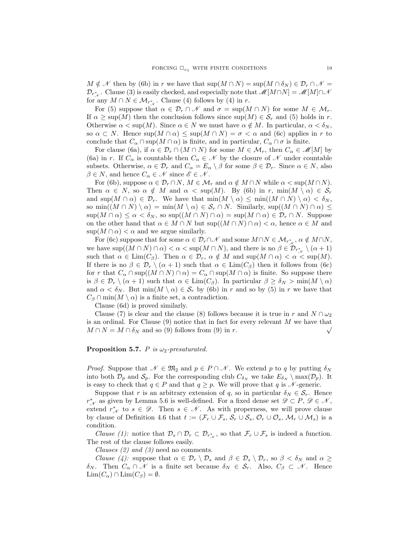$M \notin \mathcal{N}$  then by (6b) in r we have that  $\sup(M \cap N) = \sup(M \cap \delta_N) \in \mathcal{D}_r \cap \mathcal{N} =$  $\mathcal{D}_{r^*_{\mathcal{N}}}$ . Clause (3) is easily checked, and especially note that  $\mathcal{M}[M \cap N] = \mathcal{M}[M] \cap \mathcal{M}$ for any  $M \cap N \in \mathcal{M}_{r^*_{\mathcal{N}}}$ . Clause (4) follows by (4) in r.

For (5) suppose that  $\alpha \in \mathcal{D}_r \cap \mathcal{N}$  and  $\sigma = \sup(M \cap N)$  for some  $M \in \mathcal{M}_r$ . If  $\alpha \geq \sup(M)$  then the conclusion follows since  $\sup(M) \in \mathcal{S}_r$  and (5) holds in r. Otherwise  $\alpha < \sup(M)$ . Since  $\alpha \in N$  we must have  $\alpha \notin M$ . In particular,  $\alpha < \delta_N$ , so  $\alpha \subset N$ . Hence  $\sup(M \cap \alpha) \leq \sup(M \cap N) = \sigma < \alpha$  and (6c) applies in r to conclude that  $C_\alpha \cap \text{sup}(M \cap \alpha)$  is finite, and in particular,  $C_\alpha \cap \sigma$  is finite.

For clause (6a), if  $\alpha \in \mathcal{D}_r \cap (M \cap N)$  for some  $M \in \mathcal{M}_r$ , then  $C_\alpha \in \mathcal{M}[M]$  by (6a) in r. If  $C_{\alpha}$  is countable then  $C_{\alpha} \in \mathcal{N}$  by the closure of  $\mathcal{N}$  under countable subsets. Otherwise,  $\alpha \in \mathcal{D}_r$  and  $C_\alpha = E_\alpha \setminus \beta$  for some  $\beta \in \mathcal{D}_r$ . Since  $\alpha \in N$ , also  $\beta \in N$ , and hence  $C_{\alpha} \in \mathcal{N}$  since  $\mathcal{E} \in \mathcal{N}$ .

For (6b), suppose  $\alpha \in \mathcal{D}_r \cap N$ ,  $M \in \mathcal{M}_r$  and  $\alpha \notin M \cap N$  while  $\alpha < \sup(M \cap N)$ . Then  $\alpha \in N$ , so  $\alpha \notin M$  and  $\alpha < \sup(M)$ . By (6b) in r,  $\min(M \setminus \alpha) \in S_r$ and  $\sup(M \cap \alpha) \in \mathcal{D}_r$ . We have that  $\min(M \setminus \alpha) \leq \min((M \cap N) \setminus \alpha) < \delta_N$ , so min $((M \cap N) \setminus \alpha) = \min(M \setminus \alpha) \in \mathcal{S}_r \cap N$ . Similarly, sup $((M \cap N) \cap \alpha) \leq$  $\sup(M \cap \alpha) \leq \alpha < \delta_N$ , so  $\sup((M \cap N) \cap \alpha) = \sup(M \cap \alpha) \in \mathcal{D}_r \cap N$ . Suppose on the other hand that  $\alpha \in M \cap N$  but  $\sup((M \cap N) \cap \alpha) < \alpha$ , hence  $\alpha \in M$  and  $\sup(M \cap \alpha) < \alpha$  and we argue similarly.

For (6c) suppose that for some  $\alpha \in \mathcal{D}_r \cap \mathcal{N}$  and some  $M \cap N \in \mathcal{M}_{r^*_{\mathcal{N}}}, \alpha \notin M \cap N$ , we have  $\sup((M \cap N) \cap \alpha) < \alpha < \sup(M \cap N)$ , and there is no  $\beta \in \mathcal{D}_{r^*_{\mathcal{N}}} \setminus (\alpha + 1)$ such that  $\alpha \in \text{Lim}(C_\beta)$ . Then  $\alpha \in \mathcal{D}_r$ ,  $\alpha \notin M$  and  $\text{sup}(M \cap \alpha) < \alpha < \text{sup}(M)$ . If there is no  $\beta \in \mathcal{D}_r \setminus (\alpha + 1)$  such that  $\alpha \in \text{Lim}(C_\beta)$  then it follows from (6c) for r that  $C_\alpha \cap \text{sup}((M \cap N) \cap \alpha) = C_\alpha \cap \text{sup}(M \cap \alpha)$  is finite. So suppose there is  $\beta \in \mathcal{D}_r \setminus (\alpha + 1)$  such that  $\alpha \in \text{Lim}(C_\beta)$ . In particular  $\beta \ge \delta_N > \min(M \setminus \alpha)$ and  $\alpha < \delta_N$ . But  $\min(M \setminus \alpha) \in S_r$  by (6b) in r and so by (5) in r we have that  $C_\beta \cap \min(M \setminus \alpha)$  is a finite set, a contradiction.

Clause (6d) is proved similarly.

Clause (7) is clear and the clause (8) follows because it is true in r and  $N \cap \omega_2$ is an ordinal. For Clause (9) notice that in fact for every relevant M we have that  $M \cap N = M \cap \delta_N$  and so (9) follows from (9) in r.

## **Proposition 5.7.** P is  $\omega_2$ -presaturated.

*Proof.* Suppose that  $\mathcal{N} \in \mathfrak{M}_2$  and  $p \in P \cap \mathcal{N}$ . We extend p to q by putting  $\delta_N$ into both  $\mathcal{D}_p$  and  $\mathcal{S}_p$ . For the corresponding club  $C_{\delta_N}$  we take  $E_{\delta_N} \setminus \max(\mathcal{D}_p)$ . It is easy to check that  $q \in P$  and that  $q \geq p$ . We will prove that q is  $\mathcal{N}$ -generic.

Suppose that r is an arbitrary extension of q, so in particular  $\delta_N \in \mathcal{S}_r$ . Hence  $r^{\ast}_{\mathcal{N}}$  as given by Lemma 5.6 is well-defined. For a fixed dense set  $\mathscr{D} \subset P, \mathscr{D} \in \mathscr{N}$ , extend  $r^*_{\mathcal{N}}$  to  $s \in \mathcal{D}$ . Then  $s \in \mathcal{N}$ . As with properness, we will prove clause by clause of Definition 4.6 that  $t := (\mathcal{F}_r \cup \mathcal{F}_s, \mathcal{S}_r \cup \mathcal{S}_s, \mathcal{O}_r \cup \mathcal{O}_s, \mathcal{M}_r \cup \mathcal{M}_s)$  is a condition.

Clause (1): notice that  $\mathcal{D}_s \cap \mathcal{D}_r \subset \mathcal{D}_{r^*_{s'}}$ , so that  $\mathcal{F}_r \cup \mathcal{F}_s$  is indeed a function. The rest of the clause follows easily.

Clauses  $(2)$  and  $(3)$  need no comments.

*Clause* (4): suppose that  $\alpha \in \mathcal{D}_r \setminus \mathcal{D}_s$  and  $\beta \in \mathcal{D}_s \setminus \mathcal{D}_r$ , so  $\beta < \delta_N$  and  $\alpha \geq$ δ<sub>N</sub>. Then  $C_\alpha \cap \mathcal{N}$  is a finite set because  $\delta_N \in \mathcal{S}_r$ . Also,  $C_\beta \subset \mathcal{N}$ . Hence  $\text{Lim}(C_\alpha) \cap \text{Lim}(C_\beta) = \emptyset.$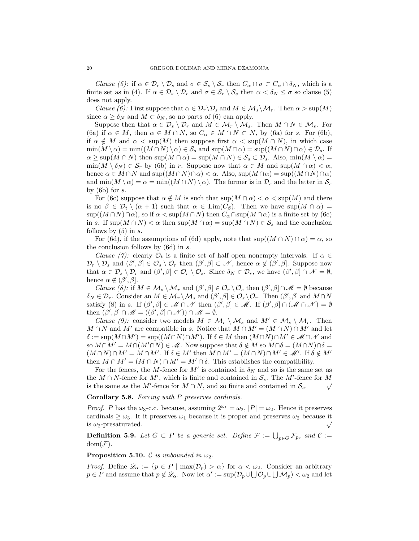*Clause* (5): if  $\alpha \in \mathcal{D}_r \setminus \mathcal{D}_s$  and  $\sigma \in \mathcal{S}_s \setminus \mathcal{S}_r$  then  $C_\alpha \cap \sigma \subset C_\alpha \cap \delta_N$ , which is a finite set as in (4). If  $\alpha \in \mathcal{D}_s \setminus \mathcal{D}_r$  and  $\sigma \in \mathcal{S}_r \setminus \mathcal{S}_s$  then  $\alpha < \delta_N \leq \sigma$  so clause (5) does not apply.

*Clause* (6): First suppose that  $\alpha \in \mathcal{D}_r \backslash \mathcal{D}_s$  and  $M \in \mathcal{M}_s \backslash \mathcal{M}_r$ . Then  $\alpha > \sup(M)$ since  $\alpha \geq \delta_N$  and  $M \subset \delta_N$ , so no parts of (6) can apply.

Suppose then that  $\alpha \in \mathcal{D}_s \setminus \mathcal{D}_r$  and  $M \in \mathcal{M}_r \setminus \mathcal{M}_s$ . Then  $M \cap N \in \mathcal{M}_s$ . For (6a) if  $\alpha \in M$ , then  $\alpha \in M \cap N$ , so  $C_{\alpha} \in M \cap N \subset N$ , by (6a) for s. For (6b), if  $\alpha \notin M$  and  $\alpha < \text{sup}(M)$  then suppose first  $\alpha < \text{sup}(M \cap N)$ , in which case  $\min(M \setminus \alpha) = \min((M \cap N) \setminus \alpha) \in \mathcal{S}_s$  and  $\sup(M \cap \alpha) = \sup((M \cap N) \cap \alpha) \in \mathcal{D}_s$ . If  $\alpha \geq \sup(M \cap N)$  then  $\sup(M \cap \alpha) = \sup(M \cap N) \in \mathcal{S}_s \subset \mathcal{D}_s$ . Also,  $\min(M \setminus \alpha) =$  $\min(M \setminus \delta_N) \in \mathcal{S}_r$  by (6b) in r. Suppose now that  $\alpha \in M$  and  $\sup(M \cap \alpha) < \alpha$ , hence  $\alpha \in M \cap N$  and  $\text{sup}( (M \cap N) \cap \alpha ) < \alpha$ . Also,  $\text{sup}( M \cap \alpha ) = \text{sup}( (M \cap N) \cap \alpha )$ and  $\min(M \setminus \alpha) = \alpha = \min((M \cap N) \setminus \alpha)$ . The former is in  $\mathcal{D}_s$  and the latter in  $\mathcal{S}_s$ by  $(6b)$  for s.

For (6c) suppose that  $\alpha \notin M$  is such that  $\sup(M \cap \alpha) < \alpha < \sup(M)$  and there is no  $\beta \in \mathcal{D}_t \setminus (\alpha + 1)$  such that  $\alpha \in \text{Lim}(C_\beta)$ . Then we have sup $(M \cap \alpha)$  $\sup((M \cap N) \cap \alpha)$ , so if  $\alpha < \sup(M \cap N)$  then  $C_{\alpha} \cap \sup(M \cap \alpha)$  is a finite set by (6c) in s. If  $\sup(M \cap N) < \alpha$  then  $\sup(M \cap \alpha) = \sup(M \cap N) \in S_s$  and the conclusion follows by  $(5)$  in s.

For (6d), if the assumptions of (6d) apply, note that  $\sup((M \cap N) \cap \alpha) = \alpha$ , so the conclusion follows by  $(6d)$  in s.

Clause (7): clearly  $\mathcal{O}_t$  is a finite set of half open nonempty intervals. If  $\alpha \in$  $\mathcal{D}_r \setminus \mathcal{D}_s$  and  $(\beta', \beta] \in \mathcal{O}_s \setminus \mathcal{O}_r$  then  $(\beta', \beta] \subset \mathcal{N}$ , hence  $\alpha \notin (\beta', \beta]$ . Suppose now that  $\alpha \in \mathcal{D}_s \setminus \mathcal{D}_r$  and  $(\beta', \beta] \in \mathcal{O}_r \setminus \mathcal{O}_s$ . Since  $\delta_N \in \mathcal{D}_r$ , we have  $(\beta', \beta] \cap \mathcal{N} = \emptyset$ , hence  $\alpha \notin (\beta', \beta]$ .

Clause (8): if  $M \in \mathcal{M}_s \setminus \mathcal{M}_r$  and  $(\beta', \beta] \in \mathcal{O}_r \setminus \mathcal{O}_s$  then  $(\beta', \beta] \cap \mathscr{M} = \emptyset$  because  $\delta_N \in \mathcal{D}_r$ . Consider an  $M \in \mathcal{M}_r \setminus \mathcal{M}_s$  and  $(\beta', \beta] \in \mathcal{O}_s \setminus \mathcal{O}_r$ . Then  $(\beta', \beta]$  and  $M \cap N$ satisfy (8) in s. If  $(\beta', \beta] \in \mathcal{M} \cap \mathcal{N}$  then  $(\beta', \beta] \in \mathcal{M}$ . If  $(\beta', \beta] \cap (\mathcal{M} \cap \mathcal{N}) = \emptyset$ then  $(\beta', \beta] \cap \mathscr{M} = ((\beta', \beta] \cap \mathscr{N})) \cap \mathscr{M} = \emptyset.$ 

*Clause (9):* consider two models  $M \in \mathcal{M}_r \setminus \mathcal{M}_s$  and  $M' \in \mathcal{M}_s \setminus \mathcal{M}_r$ . Then  $M \cap N$  and M' are compatible in s. Notice that  $M \cap M' = (M \cap N) \cap M'$  and let  $\delta := \sup(M \cap M') = \sup((M \cap N) \cap M')$ . If  $\delta \in M$  then  $(M \cap N) \cap M' \in \mathcal{M} \cap \mathcal{N}$  and so  $M \cap M' = M \cap (M' \cap N) \in \mathcal{M}$ . Now suppose that  $\delta \notin M$  so  $M \cap \delta = (M \cap N) \cap \delta =$  $(M \cap N) \cap M' = M \cap M'$ . If  $\delta \in M'$  then  $M \cap M' = (M \cap N) \cap M' \in \mathcal{M}'$ . If  $\delta \notin M'$ then  $M \cap M' = (M \cap N) \cap M' = M' \cap \delta$ . This establishes the compatibility.

For the fences, the M-fence for M' is contained in  $\delta_N$  and so is the same set as the  $M \cap N$ -fence for  $M'$ , which is finite and contained in  $S_s$ . The  $M'$ -fence for  $M$ is the same as the M'-fence for  $M \cap N$ , and so finite and contained in  $S_s$ .

Corollary 5.8. Forcing with P preserves cardinals.

*Proof.* P has the  $\omega_3$ -c.c. because, assuming  $2^{\omega_1} = \omega_2$ ,  $|P| = \omega_2$ . Hence it preserves cardinals  $\geq \omega_3$ . It it preserves  $\omega_1$  because it is proper and preserves  $\omega_2$  because it is  $\omega_2$ -presaturated.

**Definition 5.9.** Let  $G \subset P$  be a generic set. Define  $\mathcal{F} := \bigcup_{p \in G} \mathcal{F}_p$ , and  $\mathcal{C} :=$  $dom(\mathcal{F}).$ 

**Proposition 5.10.** C is unbounded in  $\omega_2$ .

*Proof.* Define  $\mathscr{D}_{\alpha} := \{p \in P \mid \max(\mathcal{D}_{p}) > \alpha\}$  for  $\alpha < \omega_2$ . Consider an arbitrary  $p \in P$  and assume that  $p \notin \mathscr{D}_{\alpha}$ . Now let  $\alpha' := \sup(\mathcal{D}_p \cup \bigcup \mathcal{O}_p \cup \bigcup \mathcal{M}_p) < \omega_2$  and let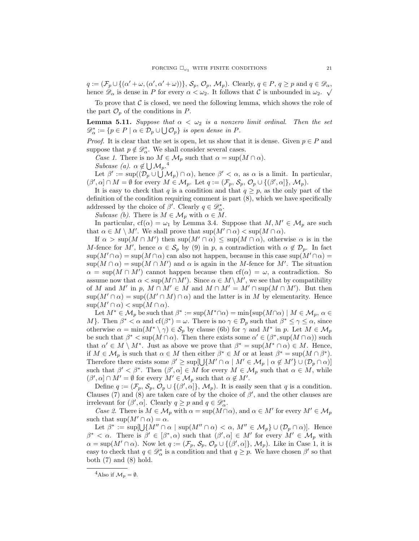$q := (\mathcal{F}_p \cup \{ (\alpha' + \omega, (\alpha', \alpha' + \omega)) \}, \mathcal{S}_p, \mathcal{O}_p, \mathcal{M}_p)$ . Clearly,  $q \in P, q \ge p$  and  $q \in \mathcal{D}_{\alpha}$ , hence  $\mathscr{D}_{\alpha}$  is dense in P for every  $\alpha < \omega_2$ . It follows that C is unbounded in  $\omega_2$ .

To prove that  $\mathcal C$  is closed, we need the following lemma, which shows the role of the part  $\mathcal{O}_p$  of the conditions in P.

**Lemma 5.11.** Suppose that  $\alpha < \omega_2$  is a nonzero limit ordinal. Then the set  $\mathscr{D}^*_\alpha := \{ p \in P \mid \alpha \in \mathcal{D}_p \cup \bigcup \mathcal{O}_p \}$  is open dense in P.

*Proof.* It is clear that the set is open, let us show that it is dense. Given  $p \in P$  and suppose that  $p \notin \mathscr{D}_{\alpha}^*$ . We shall consider several cases.

Case 1. There is no  $M \in \mathcal{M}_p$  such that  $\alpha = \sup(M \cap \alpha)$ .

Subcase (a).  $\alpha \notin \bigcup \mathcal{M}_p$ .<sup>4</sup>

Let  $\beta' := \sup((\mathcal{D}_p \cup \bigcup \mathcal{M}_p) \cap \alpha)$ , hence  $\beta' < \alpha$ , as  $\alpha$  is a limit. In particular,  $(\beta', \alpha] \cap M = \emptyset$  for every  $M \in \mathcal{M}_p$ . Let  $q := (\mathcal{F}_p, \mathcal{S}_p, \mathcal{O}_p \cup \{(\beta', \alpha]\}, \mathcal{M}_p)$ .

It is easy to check that q is a condition and that  $q \geq p$ , as the only part of the definition of the condition requiring comment is part (8), which we have specifically addressed by the choice of  $\beta'$ . Clearly  $q \in \mathscr{D}^*_{\alpha}$ .

Subcase (b). There is  $M \in \mathcal{M}_p$  with  $\alpha \in M$ .

In particular,  $cf(\alpha) = \omega_1$  by Lemma 3.4. Suppose that  $M, M' \in \mathcal{M}_p$  are such that  $\alpha \in M \setminus M'$ . We shall prove that  $\sup(M' \cap \alpha) < \sup(M \cap \alpha)$ .

If  $\alpha > \sup(M \cap M')$  then  $\sup(M' \cap \alpha) \leq \sup(M \cap \alpha)$ , otherwise  $\alpha$  is in the M-fence for M', hence  $\alpha \in \mathcal{S}_p$  by (9) in p, a contradiction with  $\alpha \notin \mathcal{D}_p$ . In fact  $\sup(M' \cap \alpha) = \sup(M \cap \alpha)$  can also not happen, because in this case  $\sup(M' \cap \alpha) =$  $\sup(M \cap \alpha) = \sup(M \cap M')$  and  $\alpha$  is again in the M-fence for M'. The situation  $\alpha = \sup(M \cap M')$  cannot happen because then  $cf(\alpha) = \omega$ , a contradiction. So assume now that  $\alpha < \sup(M \cap M')$ . Since  $\alpha \in M \setminus M'$ , we see that by compatibility of M and M' in p,  $M \cap M' \in M$  and  $M \cap M' = M' \cap \text{sup}(M \cap M')$ . But then  $\sup(M' \cap \alpha) = \sup((M' \cap M) \cap \alpha)$  and the latter is in M by elementarity. Hence  $\sup(M' \cap \alpha) < \sup(M \cap \alpha)$ .

Let  $M^* \in \mathcal{M}_p$  be such that  $\beta^* := \sup(M^* \cap \alpha) = \min\{\sup(M \cap \alpha) \mid M \in \mathcal{M}_p, \alpha \in \mathcal{M}_p\}$ M}. Then  $\beta^* < \alpha$  and  $cf(\beta^*) = \omega$ . There is no  $\gamma \in \mathcal{D}_p$  such that  $\beta^* \leq \gamma \leq \alpha$ , since otherwise  $\alpha = \min(M^* \setminus \gamma) \in \mathcal{S}_p$  by clause (6b) for  $\gamma$  and  $M^*$  in p. Let  $M \in \mathcal{M}_p$ be such that  $\beta^* < \sup(M \cap \alpha)$ . Then there exists some  $\alpha' \in (\beta^*, \sup(M \cap \alpha))$  such that  $\alpha' \in M \setminus M^*$ . Just as above we prove that  $\beta^* = \sup(M^* \cap \alpha) \in M$ . Hence, if  $M \in \mathcal{M}_p$  is such that  $\alpha \in M$  then either  $\beta^* \in M$  or at least  $\beta^* = \sup(M \cap \beta^*)$ . Therefore there exists some  $\beta' \geq \sup[\bigcup \{M' \cap \alpha \mid M' \in \mathcal{M}_p \mid \alpha \notin M'\} \cup (\mathcal{D}_p \cap \alpha)]$ such that  $\beta' < \beta^*$ . Then  $(\beta', \alpha] \in M$  for every  $M \in \mathcal{M}_p$  such that  $\alpha \in M$ , while  $(\beta', \alpha] \cap M' = \emptyset$  for every  $M' \in \mathcal{M}_p$  such that  $\alpha \notin M'$ .

Define  $q := (\mathcal{F}_p, \mathcal{S}_p, \mathcal{O}_p \cup \{(\beta', \alpha]\}, \mathcal{M}_p)$ . It is easily seen that q is a condition. Clauses (7) and (8) are taken care of by the choice of  $\beta'$ , and the other clauses are irrelevant for  $(\beta', \alpha]$ . Clearly  $q \ge p$  and  $q \in \mathscr{D}^*_\alpha$ .

Case 2. There is  $M \in \mathcal{M}_p$  with  $\alpha = \sup(M \cap \alpha)$ , and  $\alpha \in M'$  for every  $M' \in \mathcal{M}_p$ such that  $\sup(M' \cap \alpha) = \alpha$ .

Let  $\beta^* := \sup[\bigcup \{M'' \cap \alpha \mid \sup(M'' \cap \alpha) < \alpha, M'' \in \mathcal{M}_p\} \cup (\mathcal{D}_p \cap \alpha)].$  Hence  $\beta^* < \alpha$ . There is  $\beta' \in [\beta^*, \alpha]$  such that  $(\beta', \alpha] \in M'$  for every  $M' \in M_p$  with  $\alpha = \sup(M' \cap \alpha)$ . Now let  $q := (\mathcal{F}_p, \mathcal{S}_p, \mathcal{O}_p \cup \{(\beta', \alpha]\}, \mathcal{M}_p)$ . Like in Case 1, it is easy to check that  $q \in \mathcal{D}_{\alpha}^{*}$  is a condition and that  $q \geq p$ . We have chosen  $\beta'$  so that both  $(7)$  and  $(8)$  hold.

<sup>&</sup>lt;sup>4</sup>Also if  $\mathcal{M}_n = \emptyset$ .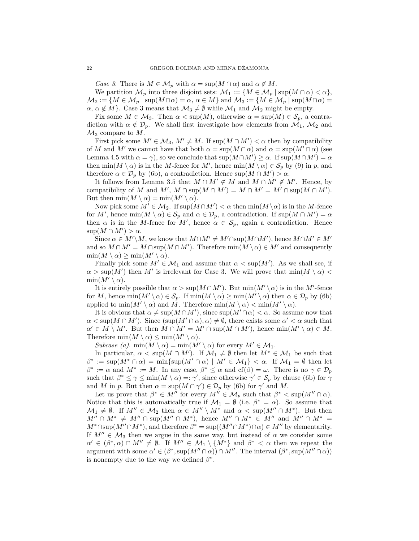Case 3. There is  $M \in \mathcal{M}_p$  with  $\alpha = \sup(M \cap \alpha)$  and  $\alpha \notin M$ .

We partition  $\mathcal{M}_p$  into three disjoint sets:  $\mathcal{M}_1 := \{ M \in \mathcal{M}_p \mid \sup(M \cap \alpha) < \alpha \},\$  $\mathcal{M}_2 := \{M \in \mathcal{M}_p \mid \text{sup}(M \cap \alpha) = \alpha, \, \alpha \in M\}$  and  $\mathcal{M}_3 := \{M \in \mathcal{M}_p \mid \text{sup}(M \cap \alpha) =$  $\alpha, \alpha \notin M$ . Case 3 means that  $\mathcal{M}_3 \neq \emptyset$  while  $\mathcal{M}_1$  and  $\mathcal{M}_2$  might be empty.

Fix some  $M \in \mathcal{M}_3$ . Then  $\alpha < \sup(M)$ , otherwise  $\alpha = \sup(M) \in \mathcal{S}_p$ , a contradiction with  $\alpha \notin \mathcal{D}_p$ . We shall first investigate how elements from  $\mathcal{M}_1$ ,  $\mathcal{M}_2$  and  $\mathcal{M}_3$  compare to M.

First pick some  $M' \in \mathcal{M}_3$ ,  $M' \neq M$ . If  $\sup(M \cap M') < \alpha$  then by compatibility of M and M' we cannot have that both  $\alpha = \sup(M \cap \alpha)$  and  $\alpha = \sup(M' \cap \alpha)$  (see Lemma 4.5 with  $\alpha = \gamma$ , so we conclude that  $\sup(M \cap M') \ge \alpha$ . If  $\sup(M \cap M') = \alpha$ then  $\min(M \setminus \alpha)$  is in the M-fence for M', hence  $\min(M \setminus \alpha) \in S_p$  by (9) in p, and therefore  $\alpha \in \mathcal{D}_p$  by (6b), a contradiction. Hence  $\sup(M \cap M') > \alpha$ .

It follows from Lemma 3.5 that  $M \cap M' \notin M$  and  $M \cap M' \notin M'$ . Hence, by compatibility of M and  $M'$ ,  $M \cap \text{sup}(M \cap M') = M \cap M' = M' \cap \text{sup}(M \cap M')$ . But then  $\min(M \setminus \alpha) = \min(M' \setminus \alpha)$ .

Now pick some  $M' \in M_2$ . If  $\sup(M \cap M') < \alpha$  then  $\min(M \setminus \alpha)$  is in the M-fence for M', hence  $\min(M \setminus \alpha) \in \mathcal{S}_p$  and  $\alpha \in \mathcal{D}_p$ , a contradiction. If  $\sup(M \cap M') = \alpha$ then  $\alpha$  is in the M-fence for M', hence  $\alpha \in \mathcal{S}_p$ , again a contradiction. Hence  $\sup(M \cap M') > \alpha$ .

Since  $\alpha \in M' \backslash M$ , we know that  $M \cap M' \neq M' \cap \text{sup}(M \cap M')$ , hence  $M \cap M' \in M'$ and so  $M \cap M' = M \cap \text{sup}(M \cap M')$ . Therefore  $\min(M \setminus \alpha) \in M'$  and consequently  $\min(M \setminus \alpha) \geq \min(M' \setminus \alpha)$ .

Finally pick some  $M' \in \mathcal{M}_1$  and assume that  $\alpha < \sup(M')$ . As we shall see, if  $\alpha > \sup(M')$  then M' is irrelevant for Case 3. We will prove that  $\min(M \setminus \alpha)$  $min(M' \setminus \alpha)$ .

It is entirely possible that  $\alpha > \sup(M \cap M')$ . But  $\min(M' \setminus \alpha)$  is in the M'-fence for M, hence  $\min(M' \setminus \alpha) \in \mathcal{S}_p$ . If  $\min(M \setminus \alpha) \ge \min(M' \setminus \alpha)$  then  $\alpha \in \mathcal{D}_p$  by (6b) applied to  $\min(M' \setminus \alpha)$  and M. Therefore  $\min(M \setminus \alpha) < \min(M' \setminus \alpha)$ .

It is obvious that  $\alpha \neq \sup(M \cap M')$ , since  $\sup(M' \cap \alpha) < \alpha$ . So assume now that  $\alpha < \sup(M \cap M')$ . Since  $(\sup(M' \cap \alpha), \alpha) \neq \emptyset$ , there exists some  $\alpha' < \alpha$  such that  $\alpha' \in M \setminus M'$ . But then  $M \cap M' = M' \cap \sup(M \cap M')$ , hence  $\min(M' \setminus \alpha) \in M$ . Therefore  $\min(M \setminus \alpha) \leq \min(M' \setminus \alpha)$ .

Subcase (a).  $\min(M \setminus \alpha) = \min(M' \setminus \alpha)$  for every  $M' \in \mathcal{M}_1$ .

In particular,  $\alpha < \sup(M \cap M')$ . If  $\mathcal{M}_1 \neq \emptyset$  then let  $M^* \in \mathcal{M}_1$  be such that  $\beta^* := \sup(M^* \cap \alpha) = \min\{\sup(M' \cap \alpha) \mid M' \in \mathcal{M}_1\} < \alpha$ . If  $\mathcal{M}_1 = \emptyset$  then let  $\beta^* := \alpha$  and  $M^* := M$ . In any case,  $\beta^* \leq \alpha$  and  $cf(\beta) = \omega$ . There is no  $\gamma \in \mathcal{D}_p$ such that  $\beta^* \leq \gamma \leq \min(M \setminus \alpha) =: \gamma'$ , since otherwise  $\gamma' \in \mathcal{S}_p$  by clause (6b) for  $\gamma$ and M in p. But then  $\alpha = \sup(M \cap \gamma') \in \mathcal{D}_p$  by (6b) for  $\gamma'$  and M.

Let us prove that  $\beta^* \in M''$  for every  $M'' \in \mathcal{M}_p$  such that  $\beta^* < \sup(M'' \cap \alpha)$ . Notice that this is automatically true if  $\mathcal{M}_1 = \emptyset$  (i.e.  $\beta^* = \alpha$ ). So assume that  $\mathcal{M}_1 \neq \emptyset$ . If  $M'' \in \mathcal{M}_2$  then  $\alpha \in M'' \setminus M^*$  and  $\alpha < \sup(M'' \cap M^*)$ . But then  $M'' \cap M^* \neq M'' \cap \text{sup}(M'' \cap M^*)$ , hence  $M'' \cap M^* \in M''$  and  $M'' \cap M^* =$  $M^* \cap \text{sup}(M'' \cap M^*)$ , and therefore  $\beta^* = \text{sup}((M'' \cap M^*) \cap \alpha) \in M''$  by elementarity. If  $M'' \in \mathcal{M}_3$  then we argue in the same way, but instead of  $\alpha$  we consider some  $\alpha' \in (\beta^*, \alpha) \cap M'' \neq \emptyset$ . If  $M'' \in \mathcal{M}_1 \setminus \{M^*\}$  and  $\beta^* < \alpha$  then we repeat the argument with some  $\alpha' \in (\beta^*, \sup(M'' \cap \alpha)) \cap M''$ . The interval  $(\beta^*, \sup(M'' \cap \alpha))$ is nonempty due to the way we defined  $\beta^*$ .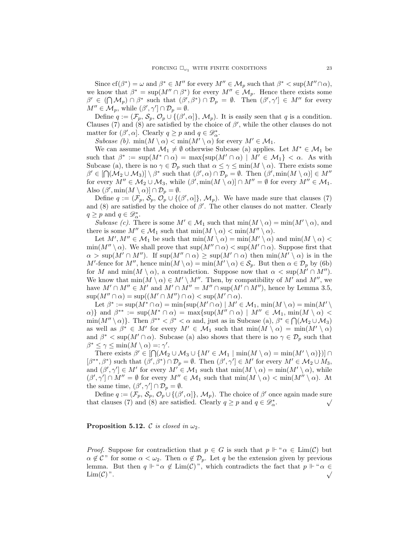Since  $cf(\beta^*) = \omega$  and  $\beta^* \in M''$  for every  $M'' \in \mathcal{M}_p$  such that  $\beta^* < \sup(M'' \cap \alpha)$ , we know that  $\beta^* = \sup(M'' \cap \beta^*)$  for every  $M'' \in \mathcal{M}_p$ . Hence there exists some  $\beta' \in (\bigcap \mathcal{M}_p) \cap \beta^*$  such that  $(\beta', \beta^*) \cap \mathcal{D}_p = \emptyset$ . Then  $(\beta', \gamma') \in M''$  for every  $M'' \in \mathcal{M}_p$ , while  $(\beta', \gamma') \cap \mathcal{D}_p = \emptyset$ .

Define  $q := (\mathcal{F}_p, \mathcal{S}_p, \mathcal{O}_p \cup \{(\beta', \alpha]\}, \mathcal{M}_p)$ . It is easily seen that q is a condition. Clauses (7) and (8) are satisfied by the choice of  $\beta'$ , while the other clauses do not matter for  $(\beta', \alpha]$ . Clearly  $q \ge p$  and  $q \in \mathcal{D}_{\alpha}^*$ .

Subcase (b).  $\min(M \setminus \alpha) < \min(M' \setminus \alpha)$  for every  $M' \in \mathcal{M}_1$ .

We can assume that  $\mathcal{M}_1 \neq \emptyset$  otherwise Subcase (a) applies. Let  $M^* \in \mathcal{M}_1$  be such that  $\beta^* := \sup(M^* \cap \alpha) = \max\{\sup(M' \cap \alpha) \mid M' \in \mathcal{M}_1\} < \alpha$ . As with Subcase (a), there is no  $\gamma \in \mathcal{D}_p$  such that  $\alpha \leq \gamma \leq \min(M \setminus \alpha)$ . There exists some  $\beta' \in [\bigcap (\mathcal{M}_2 \cup \mathcal{M}_3)] \setminus \beta^*$  such that  $(\beta', \alpha) \cap \mathcal{D}_p = \emptyset$ . Then  $(\beta', \min(M \setminus \alpha)) \in M''$ for every  $M'' \in M_2 \cup M_3$ , while  $(\beta', \min(M \setminus \alpha)] \cap M'' = \emptyset$  for every  $M'' \in M_1$ . Also  $(\beta', \min(M \setminus \alpha)] \cap \mathcal{D}_p = \emptyset$ .

Define  $q := (\mathcal{F}_p, \mathcal{S}_p, \mathcal{O}_p \cup \{(\beta', \alpha]\}, \mathcal{M}_p)$ . We have made sure that clauses (7) and (8) are satisfied by the choice of  $\beta'$ . The other clauses do not matter. Clearly  $q \geq p$  and  $q \in \mathscr{D}^*_\alpha$ .

Subcase (c). There is some  $M' \in \mathcal{M}_1$  such that  $\min(M \setminus \alpha) = \min(M' \setminus \alpha)$ , and there is some  $M'' \in \mathcal{M}_1$  such that  $\min(M \setminus \alpha) < \min(M'' \setminus \alpha)$ .

Let  $M', M'' \in \mathcal{M}_1$  be such that  $\min(M \setminus \alpha) = \min(M' \setminus \alpha)$  and  $\min(M \setminus \alpha)$  $\min(M'' \setminus \alpha)$ . We shall prove that  $\sup(M'' \cap \alpha) < \sup(M' \cap \alpha)$ . Suppose first that  $\alpha > \sup(M' \cap M'')$ . If  $\sup(M'' \cap \alpha) \geq \sup(M' \cap \alpha)$  then  $\min(M' \setminus \alpha)$  is in the M'-fence for M'', hence  $\min(M \setminus \alpha) = \min(M' \setminus \alpha) \in \mathcal{S}_p$ . But then  $\alpha \in \mathcal{D}_p$  by (6b) for M and  $\min(M \setminus \alpha)$ , a contradiction. Suppose now that  $\alpha < \sup(M' \cap M'')$ . We know that  $\min(M \setminus \alpha) \in M' \setminus M''$ . Then, by compatibility of M' and M'', we have  $M' \cap M'' \in M'$  and  $M' \cap M'' = M'' \cap \text{sup}(M' \cap M'')$ , hence by Lemma 3.5,  $\sup(M'' \cap \alpha) = \sup((M' \cap M'') \cap \alpha) < \sup(M' \cap \alpha)$ .

Let  $\beta^* := \sup(M^* \cap \alpha) = \min\{\sup(M' \cap \alpha) \mid M' \in \mathcal{M}_1, \min(M \setminus \alpha) = \min(M' \setminus \alpha)\}\$  $\{\alpha\}\}\$ and  $\beta^{**} := \sup(M^* \cap \alpha) = \max\{\sup(M'' \cap \alpha) \mid M'' \in \mathcal{M}_1, \min(M \setminus \alpha)$  $\min(M'' \setminus \alpha)$ . Then  $\beta^{**} < \beta^* < \alpha$  and, just as in Subcase (a),  $\beta^* \in \bigcap (M_2 \cup M_3)$ as well as  $\beta^* \in M'$  for every  $M' \in \mathcal{M}_1$  such that  $\min(M \setminus \alpha) = \min(M' \setminus \alpha)$ and  $\beta^* < \sup(M' \cap \alpha)$ . Subcase (a) also shows that there is no  $\gamma \in \mathcal{D}_p$  such that  $\beta^* \leq \gamma \leq \min(M \setminus \alpha) =: \gamma'.$ 

There exists  $\beta' \in [\bigcap (\mathcal{M}_2 \cup \mathcal{M}_3 \cup \{M' \in \mathcal{M}_1 \mid \min(M \setminus \alpha) = \min(M' \setminus \alpha)\})] \cap$  $[\beta^{**}, \beta^*)$  such that  $(\beta', \beta^*) \cap \mathcal{D}_p = \emptyset$ . Then  $(\beta', \gamma') \in M'$  for every  $M' \in \mathcal{M}_2 \cup M_3$ , and  $(\beta', \gamma') \in M'$  for every  $M' \in \mathcal{M}_1$  such that  $\min(M \setminus \alpha) = \min(M' \setminus \alpha)$ , while  $(\beta', \gamma') \cap M'' = \emptyset$  for every  $M'' \in \mathcal{M}_1$  such that  $\min(M \setminus \alpha) < \min(M'' \setminus \alpha)$ . At the same time,  $(\beta', \gamma') \cap \mathcal{D}_p = \emptyset$ .

Define  $q := (\mathcal{F}_p, \mathcal{S}_p, \mathcal{O}_p \cup \{(\beta', \alpha]\}, \mathcal{M}_p)$ . The choice of  $\beta'$  once again made sure that clauses (7) and (8) are satisfied. Clearly  $q \ge p$  and  $q \in \mathcal{D}_{\alpha}^*$ .

**Proposition 5.12.** C is closed in  $\omega_2$ .

*Proof.* Suppose for contradiction that  $p \in G$  is such that  $p \Vdash " \alpha \in \text{Lim}(\mathcal{C})$  but  $\alpha \notin \mathcal{C}^{\gamma}$  for some  $\alpha < \omega_2$ . Then  $\alpha \notin \mathcal{D}_p$ . Let q be the extension given by previous lemma. But then  $q \Vdash " \alpha \notin \text{Lim}(\mathcal{C})$ ", which contradicts the fact that  $p \Vdash " \alpha \in \text{Lim}(\mathcal{C})$ ".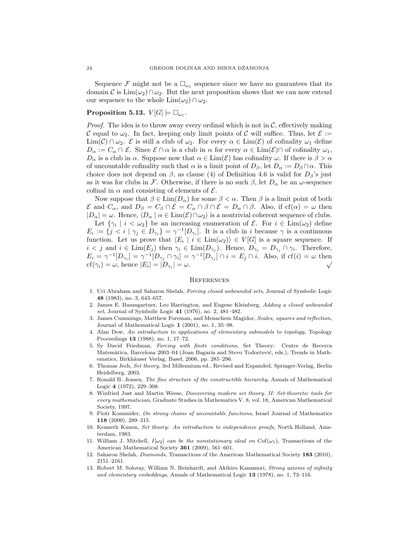Sequence  $\mathcal F$  might not be a  $\square_{\omega_1}$  sequence since we have no guarantees that its domain C is  $\lim(\omega_2) \cap \omega_2$ . But the next proposition shows that we can now extend our sequence to the whole  $\text{Lim}(\omega_2) \cap \omega_2$ .

# Proposition 5.13.  $V[G] \models \Box_{\omega_1}$ .

 $\text{cf}(\gamma_i) = \omega$ , hence  $|E_i| = |D_{\gamma_i}| = \omega$ .

*Proof.* The idea is to throw away every ordinal which is not in  $\mathcal{C}$ , effectively making C equal to  $\omega_2$ . In fact, keeping only limit points of C will suffice. Thus, let  $\mathcal{E} :=$  $\text{Lim}(\mathcal{C})\cap\omega_2$ . E is still a club of  $\omega_2$ . For every  $\alpha\in\text{Lim}(\mathcal{E})$  of cofinality  $\omega_1$  define  $D_{\alpha} := C_{\alpha} \cap \mathcal{E}$ . Since  $\mathcal{E} \cap \alpha$  is a club in  $\alpha$  for every  $\alpha \in \text{Lim}(\mathcal{E}) \cap$  of cofinality  $\omega_1$ ,  $D_{\alpha}$  is a club in  $\alpha$ . Suppose now that  $\alpha \in \text{Lim}(\mathcal{E})$  has cofinality  $\omega$ . If there is  $\beta > \alpha$ of uncountable cofinality such that  $\alpha$  is a limit point of  $D_\beta$ , let  $D_\alpha := D_\beta \cap \alpha$ . This choice does not depend on  $\beta$ , as clause (4) of Definition 4.6 is valid for  $D_{\beta}$ 's just as it was for clubs in F. Otherwise, if there is no such  $\beta$ , let  $D_{\alpha}$  be an  $\omega$ -sequence cofinal in  $\alpha$  and consisting of elements of  $\mathcal{E}$ .

Now suppose that  $\beta \in \text{Lim}(D_{\alpha})$  for some  $\beta < \alpha$ . Then  $\beta$  is a limit point of both  $\mathcal E$  and  $C_\alpha$ , and  $D_\beta = C_\beta \cap \mathcal E = C_\alpha \cap \beta \cap \mathcal E = D_\alpha \cap \beta$ . Also, if  $cf(\alpha) = \omega$  then  $|D_{\alpha}| = \omega$ . Hence,  $\langle D_{\alpha} | \alpha \in \text{Lim}(\mathcal{E}) \cap \omega_2 \rangle$  is a nontrivial coherent sequence of clubs. Let  $\{\gamma_i \mid i < \omega_2\}$  be an increasing enumeration of  $\mathcal{E}$ . For  $i \in \text{Lim}(\omega_2)$  define  $E_i := \{j \leq i \mid \gamma_j \in D_{\gamma_i}\} = \gamma^{-1}[D_{\gamma_i}].$  It is a club in i because  $\gamma$  is a continuous function. Let us prove that  $\langle E_i | i \in \text{Lim}(\omega_2) \rangle \in V[G]$  is a square sequence. If  $i < j$  and  $i \in \text{Lim}(E_j)$  then  $\gamma_i \in \text{Lim}(D_{\gamma_j})$ . Hence,  $D_{\gamma_i} = D_{\gamma_j} \cap \gamma_i$ . Therefore,  $E_i = \gamma^{-1}[D_{\gamma_i}] = \gamma^{-1}[D_{\gamma_j} \cap \gamma_i] = \gamma^{-1}[D_{\gamma_j}] \cap i = E_j \cap i$ . Also, if cf(i) =  $\omega$  then

#### **REFERENCES**

- 1. Uri Abraham and Saharon Shelah, Forcing closed unbounded sets, Journal of Symbolic Logic 48 (1983), no. 3, 643–657.
- 2. James E. Baumgartner, Leo Harrington, and Eugene Kleinberg, Adding a closed unbounded set, Journal of Symbolic Logic 41 (1976), no. 2, 481–482.
- 3. James Cummings, Matthew Foreman, and Menachem Magidor, Scales, squares and reflection, Journal of Mathematical Logic 1 (2001), no. 1, 35–98.
- 4. Alan Dow, An introduction to applications of elementary submodels to topology, Topology Proceedings 13 (1988), no. 1, 17–72.
- 5. Sy David Friedman, Forcing with finite conditions, Set Theory: Centre de Recerca Matemàtica, Barcelona 2003–04 (Joan Bagaria and Stevo Todorčević, eds.), Trends in Mathematics, Birkhäuser Verlag, Basel, 2006, pp. 285–296.
- 6. Thomas Jech, Set theory, 3rd Millennium ed., Revised and Expanded, Springer-Verlag, Berlin Heidelberg, 2003.
- 7. Ronald B. Jensen, The fine structure of the constructible hierarchy, Annals of Mathematical Logic 4 (1972), 229–308.
- 8. Winfried Just and Martin Weese, Discovering modern set theory. II: Set-theoretic tools for every mathematician, Graduate Studies in Mathematics V. 8, vol. 18, American Mathematical Society, 1997.
- 9. Piotr Koszmider, On strong chains of uncountable functions, Israel Journal of Mathematics 118 (2000), 289–315.
- 10. Kenneth Kunen, Set theory: An introduction to independence proofs, North Holland, Amsterdam, 1983.
- 11. William J. Mitchell,  $I[\omega_2]$  can be the nonstationary ideal on Cof( $\omega_1$ ), Transactions of the American Mathematical Society 361 (2009), 561–601.
- 12. Saharon Shelah, Diamonds, Transactions of the American Mathematical Society 183 (2010), 2151–2161.
- 13. Robert M. Solovay, William N. Reinhardt, and Akihiro Kanamori, Strong axioms of infinity and elementary embeddings, Annals of Mathematical Logic 13 (1978), no. 1, 73–116.